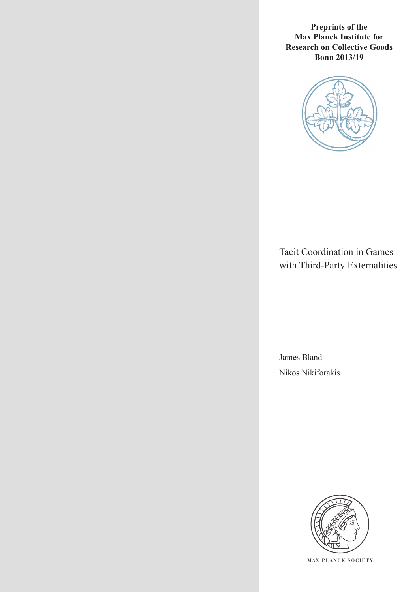**Preprints of the Max Planck Institute for Research on Collective Goods Bonn 2013/19**



Tacit Coordination in Games with Third-Party Externalities

James Bland Nikos Nikiforakis



**M AX PLANCK SOCIETY**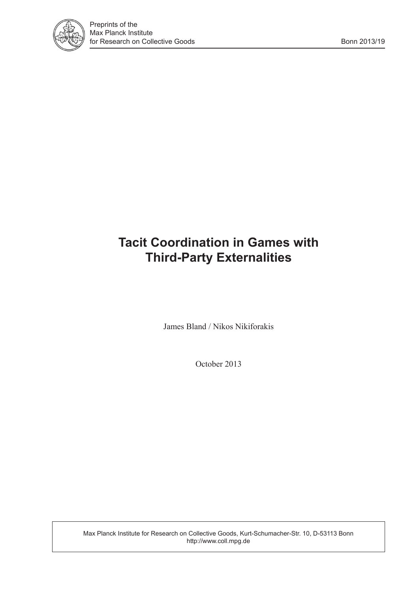

# **Tacit Coordination in Games with Third-Party Externalities**

James Bland / Nikos Nikiforakis

October 2013

Max Planck Institute for Research on Collective Goods, Kurt-Schumacher-Str. 10, D-53113 Bonn http://www.coll.mpg.de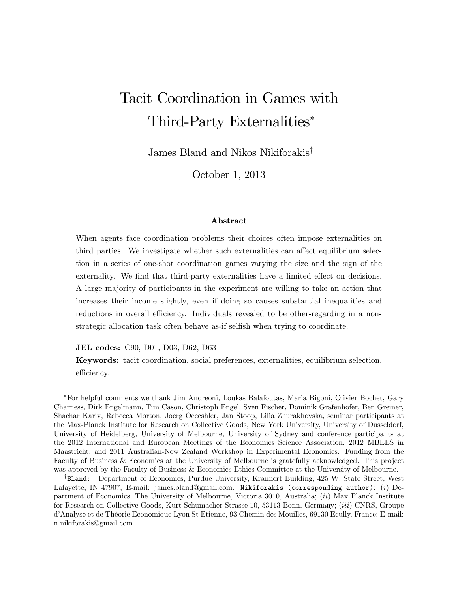# Tacit Coordination in Games with Third-Party Externalities

James Bland and Nikos Nikiforakis<sup>†</sup>

October 1, 2013

#### Abstract

When agents face coordination problems their choices often impose externalities on third parties. We investigate whether such externalities can affect equilibrium selection in a series of one-shot coordination games varying the size and the sign of the externality. We find that third-party externalities have a limited effect on decisions. A large majority of participants in the experiment are willing to take an action that increases their income slightly, even if doing so causes substantial inequalities and reductions in overall efficiency. Individuals revealed to be other-regarding in a nonstrategic allocation task often behave as-if selfish when trying to coordinate.

JEL codes: C90, D01, D03, D62, D63

Keywords: tacit coordination, social preferences, externalities, equilibrium selection, efficiency.

For helpful comments we thank Jim Andreoni, Loukas Balafoutas, Maria Bigoni, Olivier Bochet, Gary Charness, Dirk Engelmann, Tim Cason, Christoph Engel, Sven Fischer, Dominik Grafenhofer, Ben Greiner, Shachar Kariv, Rebecca Morton, Joerg Oeccshler, Jan Stoop, Lilia Zhurakhovska, seminar participants at the Max-Planck Institute for Research on Collective Goods, New York University, University of Düsseldorf, University of Heidelberg, University of Melbourne, University of Sydney and conference participants at the 2012 International and European Meetings of the Economics Science Association, 2012 MBEES in Maastricht, and 2011 Australian-New Zealand Workshop in Experimental Economics. Funding from the Faculty of Business & Economics at the University of Melbourne is gratefully acknowledged. This project was approved by the Faculty of Business & Economics Ethics Committee at the University of Melbourne.

<sup>&</sup>lt;sup>†</sup>Bland: Department of Economics, Purdue University, Krannert Building, 425 W. State Street, West Lafayette, IN 47907; E-mail: james.bland@gmail.com. Nikiforakis (corresponding author): (*i*) Department of Economics, The University of Melbourne, Victoria 3010, Australia; (ii) Max Planck Institute for Research on Collective Goods, Kurt Schumacher Strasse 10, 53113 Bonn, Germany; (iii) CNRS, Groupe d'Analyse et de Théorie Economique Lyon St Etienne, 93 Chemin des Mouilles, 69130 Ecully, France; E-mail: n.nikiforakis@gmail.com.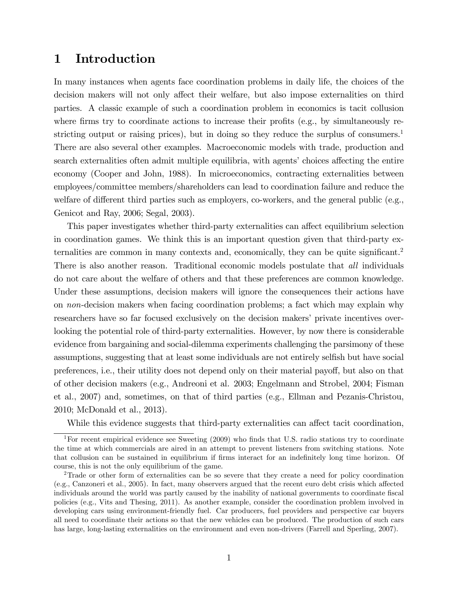# 1 Introduction

In many instances when agents face coordination problems in daily life, the choices of the decision makers will not only affect their welfare, but also impose externalities on third parties. A classic example of such a coordination problem in economics is tacit collusion where firms try to coordinate actions to increase their profits (e.g., by simultaneously restricting output or raising prices), but in doing so they reduce the surplus of consumers.<sup>1</sup> There are also several other examples. Macroeconomic models with trade, production and search externalities often admit multiple equilibria, with agents' choices affecting the entire economy (Cooper and John, 1988). In microeconomics, contracting externalities between employees/committee members/shareholders can lead to coordination failure and reduce the welfare of different third parties such as employers, co-workers, and the general public (e.g., Genicot and Ray, 2006; Segal, 2003).

This paper investigates whether third-party externalities can affect equilibrium selection in coordination games. We think this is an important question given that third-party externalities are common in many contexts and, economically, they can be quite significant.<sup>2</sup> There is also another reason. Traditional economic models postulate that *all* individuals do not care about the welfare of others and that these preferences are common knowledge. Under these assumptions, decision makers will ignore the consequences their actions have on non-decision makers when facing coordination problems; a fact which may explain why researchers have so far focused exclusively on the decision makers' private incentives overlooking the potential role of third-party externalities. However, by now there is considerable evidence from bargaining and social-dilemma experiments challenging the parsimony of these assumptions, suggesting that at least some individuals are not entirely selfish but have social preferences, i.e., their utility does not depend only on their material payoff, but also on that of other decision makers (e.g., Andreoni et al. 2003; Engelmann and Strobel, 2004; Fisman et al., 2007) and, sometimes, on that of third parties (e.g., Ellman and Pezanis-Christou, 2010; McDonald et al., 2013).

While this evidence suggests that third-party externalities can affect tacit coordination,

<sup>&</sup>lt;sup>1</sup>For recent empirical evidence see Sweeting  $(2009)$  who finds that U.S. radio stations try to coordinate the time at which commercials are aired in an attempt to prevent listeners from switching stations. Note that collusion can be sustained in equilibrium if firms interact for an indefinitely long time horizon. Of course, this is not the only equilibrium of the game.

<sup>2</sup>Trade or other form of externalities can be so severe that they create a need for policy coordination  $(e.g., Canzoneri et al., 2005)$ . In fact, many observers argued that the recent euro debt crisis which affected individuals around the world was partly caused by the inability of national governments to coordinate fiscal policies (e.g., Vits and Thesing, 2011). As another example, consider the coordination problem involved in developing cars using environment-friendly fuel. Car producers, fuel providers and perspective car buyers all need to coordinate their actions so that the new vehicles can be produced. The production of such cars has large, long-lasting externalities on the environment and even non-drivers (Farrell and Sperling, 2007).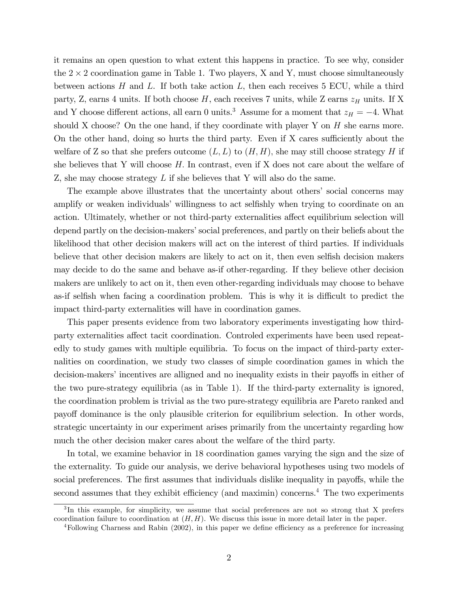it remains an open question to what extent this happens in practice. To see why, consider the  $2 \times 2$  coordination game in Table 1. Two players, X and Y, must choose simultaneously between actions  $H$  and  $L$ . If both take action  $L$ , then each receives 5 ECU, while a third party, Z, earns 4 units. If both choose  $H$ , each receives 7 units, while Z earns  $z_H$  units. If X and Y choose different actions, all earn 0 units.<sup>3</sup> Assume for a moment that  $z_H = -4$ . What should X choose? On the one hand, if they coordinate with player Y on  $H$  she earns more. On the other hand, doing so hurts the third party. Even if  $X$  cares sufficiently about the welfare of Z so that she prefers outcome  $(L, L)$  to  $(H, H)$ , she may still choose strategy H if she believes that Y will choose  $H$ . In contrast, even if X does not care about the welfare of Z, she may choose strategy L if she believes that Y will also do the same.

The example above illustrates that the uncertainty about others' social concerns may amplify or weaken individuals' willingness to act selfishly when trying to coordinate on an action. Ultimately, whether or not third-party externalities affect equilibrium selection will depend partly on the decision-makers' social preferences, and partly on their beliefs about the likelihood that other decision makers will act on the interest of third parties. If individuals believe that other decision makers are likely to act on it, then even selfish decision makers may decide to do the same and behave as-if other-regarding. If they believe other decision makers are unlikely to act on it, then even other-regarding individuals may choose to behave as-if selfish when facing a coordination problem. This is why it is difficult to predict the impact third-party externalities will have in coordination games.

This paper presents evidence from two laboratory experiments investigating how thirdparty externalities affect tacit coordination. Controled experiments have been used repeatedly to study games with multiple equilibria. To focus on the impact of third-party externalities on coordination, we study two classes of simple coordination games in which the decision-makers' incentives are alligned and no inequality exists in their payoffs in either of the two pure-strategy equilibria (as in Table 1). If the third-party externality is ignored, the coordination problem is trivial as the two pure-strategy equilibria are Pareto ranked and payoff dominance is the only plausible criterion for equilibrium selection. In other words, strategic uncertainty in our experiment arises primarily from the uncertainty regarding how much the other decision maker cares about the welfare of the third party.

In total, we examine behavior in 18 coordination games varying the sign and the size of the externality. To guide our analysis, we derive behavioral hypotheses using two models of social preferences. The first assumes that individuals dislike inequality in payoffs, while the second assumes that they exhibit efficiency (and maximin) concerns.<sup>4</sup> The two experiments

<sup>&</sup>lt;sup>3</sup>In this example, for simplicity, we assume that social preferences are not so strong that X prefers coordination failure to coordination at  $(H, H)$ . We discuss this issue in more detail later in the paper.

 $4$ Following Charness and Rabin (2002), in this paper we define efficiency as a preference for increasing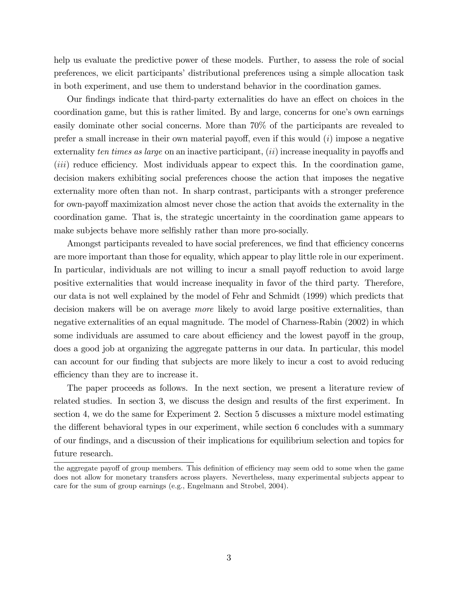help us evaluate the predictive power of these models. Further, to assess the role of social preferences, we elicit participants' distributional preferences using a simple allocation task in both experiment, and use them to understand behavior in the coordination games.

Our findings indicate that third-party externalities do have an effect on choices in the coordination game, but this is rather limited. By and large, concerns for one's own earnings easily dominate other social concerns. More than 70% of the participants are revealed to prefer a small increase in their own material payoff, even if this would  $(i)$  impose a negative externality ten times as large on an inactive participant,  $(ii)$  increase inequality in payoffs and  $(iii)$  reduce efficiency. Most individuals appear to expect this. In the coordination game, decision makers exhibiting social preferences choose the action that imposes the negative externality more often than not. In sharp contrast, participants with a stronger preference for own-payoff maximization almost never chose the action that avoids the externality in the coordination game. That is, the strategic uncertainty in the coordination game appears to make subjects behave more selfishly rather than more pro-socially.

Amongst participants revealed to have social preferences, we find that efficiency concerns are more important than those for equality, which appear to play little role in our experiment. In particular, individuals are not willing to incur a small payoff reduction to avoid large positive externalities that would increase inequality in favor of the third party. Therefore, our data is not well explained by the model of Fehr and Schmidt (1999) which predicts that decision makers will be on average *more* likely to avoid large positive externalities, than negative externalities of an equal magnitude. The model of Charness-Rabin (2002) in which some individuals are assumed to care about efficiency and the lowest payoff in the group, does a good job at organizing the aggregate patterns in our data. In particular, this model can account for our finding that subjects are more likely to incur a cost to avoid reducing efficiency than they are to increase it.

The paper proceeds as follows. In the next section, we present a literature review of related studies. In section 3, we discuss the design and results of the first experiment. In section 4, we do the same for Experiment 2. Section 5 discusses a mixture model estimating the different behavioral types in our experiment, while section 6 concludes with a summary of our Öndings, and a discussion of their implications for equilibrium selection and topics for future research.

the aggregate payoff of group members. This definition of efficiency may seem odd to some when the game does not allow for monetary transfers across players. Nevertheless, many experimental subjects appear to care for the sum of group earnings (e.g., Engelmann and Strobel, 2004).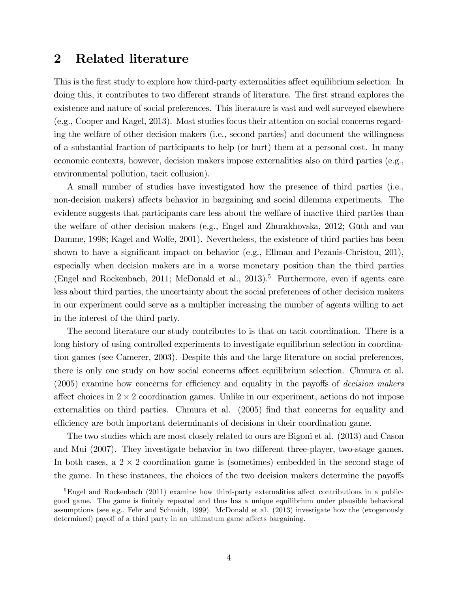## 2 Related literature

This is the first study to explore how third-party externalities affect equilibrium selection. In doing this, it contributes to two different strands of literature. The first strand explores the existence and nature of social preferences. This literature is vast and well surveyed elsewhere (e.g., Cooper and Kagel, 2013). Most studies focus their attention on social concerns regarding the welfare of other decision makers (i.e., second parties) and document the willingness of a substantial fraction of participants to help (or hurt) them at a personal cost. In many economic contexts, however, decision makers impose externalities also on third parties (e.g., environmental pollution, tacit collusion).

A small number of studies have investigated how the presence of third parties (i.e., non-decision makers) affects behavior in bargaining and social dilemma experiments. The evidence suggests that participants care less about the welfare of inactive third parties than the welfare of other decision makers (e.g., Engel and Zhurakhovska, 2012; Güth and van Damme, 1998; Kagel and Wolfe, 2001). Nevertheless, the existence of third parties has been shown to have a significant impact on behavior (e.g., Ellman and Pezanis-Christou, 201), especially when decision makers are in a worse monetary position than the third parties (Engel and Rockenbach, 2011; McDonald et al., 2013).<sup>5</sup> Furthermore, even if agents care less about third parties, the uncertainty about the social preferences of other decision makers in our experiment could serve as a multiplier increasing the number of agents willing to act in the interest of the third party.

The second literature our study contributes to is that on tacit coordination. There is a long history of using controlled experiments to investigate equilibrium selection in coordination games (see Camerer, 2003). Despite this and the large literature on social preferences, there is only one study on how social concerns affect equilibrium selection. Chmura et al.  $(2005)$  examine how concerns for efficiency and equality in the payoffs of *decision makers* affect choices in  $2 \times 2$  coordination games. Unlike in our experiment, actions do not impose externalities on third parties. Chmura et al. (2005) find that concerns for equality and efficiency are both important determinants of decisions in their coordination game.

The two studies which are most closely related to ours are Bigoni et al. (2013) and Cason and Mui (2007). They investigate behavior in two different three-player, two-stage games. In both cases, a  $2 \times 2$  coordination game is (sometimes) embedded in the second stage of the game. In these instances, the choices of the two decision makers determine the payoffs

 $5$ Engel and Rockenbach (2011) examine how third-party externalities affect contributions in a publicgood game. The game is finitely repeated and thus has a unique equilibrium under plausible behavioral assumptions (see e.g., Fehr and Schmidt, 1999). McDonald et al. (2013) investigate how the (exogenously determined) payoff of a third party in an ultimatum game affects bargaining.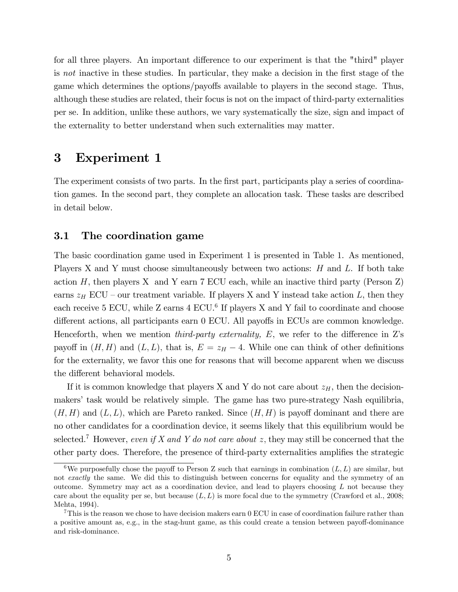for all three players. An important difference to our experiment is that the "third" player is not inactive in these studies. In particular, they make a decision in the first stage of the game which determines the options/payoffs available to players in the second stage. Thus, although these studies are related, their focus is not on the impact of third-party externalities per se. In addition, unlike these authors, we vary systematically the size, sign and impact of the externality to better understand when such externalities may matter.

## 3 Experiment 1

The experiment consists of two parts. In the first part, participants play a series of coordination games. In the second part, they complete an allocation task. These tasks are described in detail below.

#### 3.1 The coordination game

The basic coordination game used in Experiment 1 is presented in Table 1. As mentioned, Players X and Y must choose simultaneously between two actions:  $H$  and  $L$ . If both take action  $H$ , then players X and Y earn 7 ECU each, while an inactive third party (Person Z) earns  $z_H$  ECU – our treatment variable. If players X and Y instead take action L, then they each receive 5 ECU, while Z earns 4 ECU.<sup>6</sup> If players X and Y fail to coordinate and choose different actions, all participants earn  $0$  ECU. All payoffs in ECUs are common knowledge. Henceforth, when we mention *third-party externality*,  $E$ , we refer to the difference in Z's payoff in  $(H, H)$  and  $(L, L)$ , that is,  $E = z_H - 4$ . While one can think of other definitions for the externality, we favor this one for reasons that will become apparent when we discuss the different behavioral models.

If it is common knowledge that players X and Y do not care about  $z_H$ , then the decisionmakers' task would be relatively simple. The game has two pure-strategy Nash equilibria,  $(H, H)$  and  $(L, L)$ , which are Pareto ranked. Since  $(H, H)$  is payoff dominant and there are no other candidates for a coordination device, it seems likely that this equilibrium would be selected.<sup>7</sup> However, even if X and Y do not care about z, they may still be concerned that the other party does. Therefore, the presence of third-party externalities amplifies the strategic

<sup>&</sup>lt;sup>6</sup>We purposefully chose the payoff to Person Z such that earnings in combination  $(L, L)$  are similar, but not exactly the same. We did this to distinguish between concerns for equality and the symmetry of an outcome. Symmetry may act as a coordination device, and lead to players choosing L not because they care about the equality per se, but because  $(L, L)$  is more focal due to the symmetry (Crawford et al., 2008; Mehta, 1994).

<sup>7</sup>This is the reason we chose to have decision makers earn 0 ECU in case of coordination failure rather than a positive amount as, e.g., in the stag-hunt game, as this could create a tension between payoff-dominance and risk-dominance.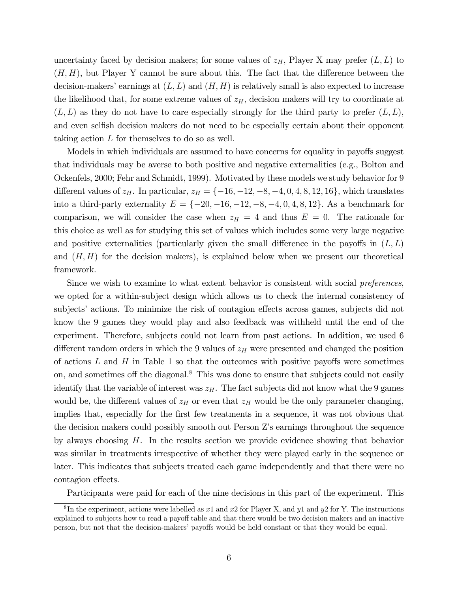uncertainty faced by decision makers; for some values of  $z_H$ , Player X may prefer  $(L, L)$  to  $(H, H)$ , but Player Y cannot be sure about this. The fact that the difference between the decision-makers' earnings at  $(L, L)$  and  $(H, H)$  is relatively small is also expected to increase the likelihood that, for some extreme values of  $z_H$ , decision makers will try to coordinate at  $(L, L)$  as they do not have to care especially strongly for the third party to prefer  $(L, L)$ , and even selfish decision makers do not need to be especially certain about their opponent taking action L for themselves to do so as well.

Models in which individuals are assumed to have concerns for equality in payoffs suggest that individuals may be averse to both positive and negative externalities (e.g., Bolton and Ockenfels, 2000; Fehr and Schmidt, 1999). Motivated by these models we study behavior for 9 different values of  $z_H$ . In particular,  $z_H = \{-16, -12, -8, -4, 0, 4, 8, 12, 16\}$ , which translates into a third-party externality  $E = \{-20, -16, -12, -8, -4, 0, 4, 8, 12\}$ . As a benchmark for comparison, we will consider the case when  $z_H = 4$  and thus  $E = 0$ . The rationale for this choice as well as for studying this set of values which includes some very large negative and positive externalities (particularly given the small difference in the payoffs in  $(L, L)$ ) and  $(H, H)$  for the decision makers), is explained below when we present our theoretical framework.

Since we wish to examine to what extent behavior is consistent with social *preferences*, we opted for a within-subject design which allows us to check the internal consistency of subjects' actions. To minimize the risk of contagion effects across games, subjects did not know the 9 games they would play and also feedback was withheld until the end of the experiment. Therefore, subjects could not learn from past actions. In addition, we used 6 different random orders in which the 9 values of  $z_H$  were presented and changed the position of actions  $L$  and  $H$  in Table 1 so that the outcomes with positive payoffs were sometimes on, and sometimes off the diagonal.<sup>8</sup> This was done to ensure that subjects could not easily identify that the variable of interest was  $z_H$ . The fact subjects did not know what the 9 games would be, the different values of  $z_H$  or even that  $z_H$  would be the only parameter changing, implies that, especially for the first few treatments in a sequence, it was not obvious that the decision makers could possibly smooth out Person Zís earnings throughout the sequence by always choosing  $H$ . In the results section we provide evidence showing that behavior was similar in treatments irrespective of whether they were played early in the sequence or later. This indicates that subjects treated each game independently and that there were no contagion effects.

Participants were paid for each of the nine decisions in this part of the experiment. This

<sup>&</sup>lt;sup>8</sup>In the experiment, actions were labelled as x1 and x2 for Player X, and y1 and y2 for Y. The instructions explained to subjects how to read a payoff table and that there would be two decision makers and an inactive person, but not that the decision-makers' payoffs would be held constant or that they would be equal.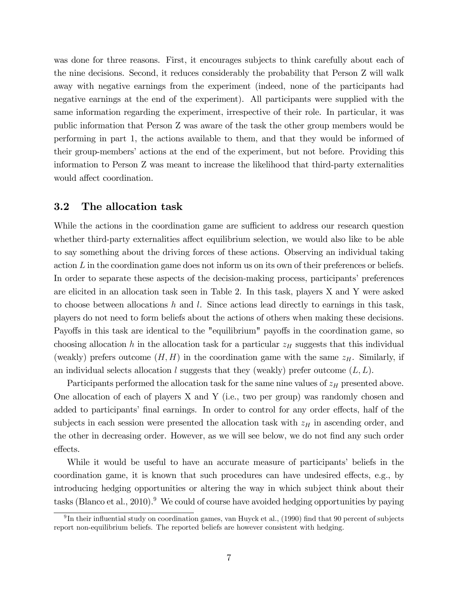was done for three reasons. First, it encourages subjects to think carefully about each of the nine decisions. Second, it reduces considerably the probability that Person Z will walk away with negative earnings from the experiment (indeed, none of the participants had negative earnings at the end of the experiment). All participants were supplied with the same information regarding the experiment, irrespective of their role. In particular, it was public information that Person Z was aware of the task the other group members would be performing in part 1, the actions available to them, and that they would be informed of their group-members' actions at the end of the experiment, but not before. Providing this information to Person Z was meant to increase the likelihood that third-party externalities would affect coordination.

#### 3.2 The allocation task

While the actions in the coordination game are sufficient to address our research question whether third-party externalities affect equilibrium selection, we would also like to be able to say something about the driving forces of these actions. Observing an individual taking action  $L$  in the coordination game does not inform us on its own of their preferences or beliefs. In order to separate these aspects of the decision-making process, participants' preferences are elicited in an allocation task seen in Table 2. In this task, players X and Y were asked to choose between allocations h and l. Since actions lead directly to earnings in this task, players do not need to form beliefs about the actions of others when making these decisions. Payoffs in this task are identical to the "equilibrium" payoffs in the coordination game, so choosing allocation h in the allocation task for a particular  $z_H$  suggests that this individual (weakly) prefers outcome  $(H, H)$  in the coordination game with the same  $z_H$ . Similarly, if an individual selects allocation l suggests that they (weakly) prefer outcome  $(L, L)$ .

Participants performed the allocation task for the same nine values of  $z_H$  presented above. One allocation of each of players X and Y (i.e., two per group) was randomly chosen and added to participants' final earnings. In order to control for any order effects, half of the subjects in each session were presented the allocation task with  $z_H$  in ascending order, and the other in decreasing order. However, as we will see below, we do not find any such order effects.

While it would be useful to have an accurate measure of participants' beliefs in the coordination game, it is known that such procedures can have undesired effects, e.g., by introducing hedging opportunities or altering the way in which subject think about their tasks (Blanco et al., 2010).<sup>9</sup> We could of course have avoided hedging opportunities by paying

<sup>&</sup>lt;sup>9</sup>In their influential study on coordination games, van Huyck et al., (1990) find that 90 percent of subjects report non-equilibrium beliefs. The reported beliefs are however consistent with hedging.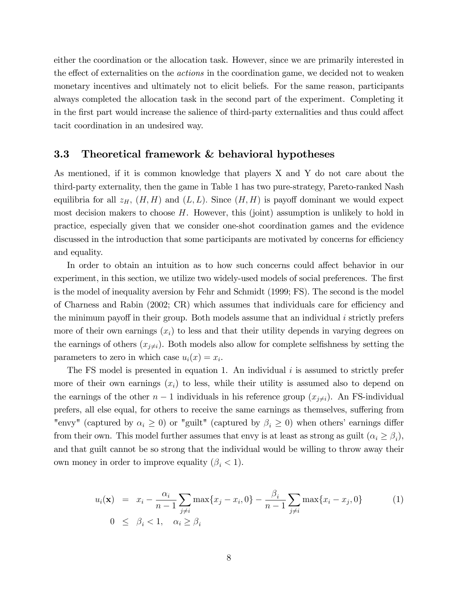either the coordination or the allocation task. However, since we are primarily interested in the effect of externalities on the *actions* in the coordination game, we decided not to weaken monetary incentives and ultimately not to elicit beliefs. For the same reason, participants always completed the allocation task in the second part of the experiment. Completing it in the first part would increase the salience of third-party externalities and thus could affect tacit coordination in an undesired way.

#### 3.3 Theoretical framework & behavioral hypotheses

As mentioned, if it is common knowledge that players X and Y do not care about the third-party externality, then the game in Table 1 has two pure-strategy, Pareto-ranked Nash equilibria for all  $z_H$ ,  $(H, H)$  and  $(L, L)$ . Since  $(H, H)$  is payoff dominant we would expect most decision makers to choose  $H$ . However, this (joint) assumption is unlikely to hold in practice, especially given that we consider one-shot coordination games and the evidence discussed in the introduction that some participants are motivated by concerns for efficiency and equality.

In order to obtain an intuition as to how such concerns could affect behavior in our experiment, in this section, we utilize two widely-used models of social preferences. The first is the model of inequality aversion by Fehr and Schmidt (1999; FS). The second is the model of Charness and Rabin  $(2002; \text{CR})$  which assumes that individuals care for efficiency and the minimum payoff in their group. Both models assume that an individual  $i$  strictly prefers more of their own earnings  $(x_i)$  to less and that their utility depends in varying degrees on the earnings of others  $(x_{j\neq i})$ . Both models also allow for complete selfishness by setting the parameters to zero in which case  $u_i(x) = x_i$ .

The FS model is presented in equation 1. An individual  $i$  is assumed to strictly prefer more of their own earnings  $(x_i)$  to less, while their utility is assumed also to depend on the earnings of the other  $n-1$  individuals in his reference group  $(x_{j\neq i})$ . An FS-individual prefers, all else equal, for others to receive the same earnings as themselves, suffering from "envy" (captured by  $\alpha_i \geq 0$ ) or "guilt" (captured by  $\beta_i \geq 0$ ) when others' earnings differ from their own. This model further assumes that envy is at least as strong as guilt  $(\alpha_i \ge \beta_i)$ , and that guilt cannot be so strong that the individual would be willing to throw away their own money in order to improve equality  $(\beta_i < 1)$ .

$$
u_i(\mathbf{x}) = x_i - \frac{\alpha_i}{n-1} \sum_{j \neq i} \max\{x_j - x_i, 0\} - \frac{\beta_i}{n-1} \sum_{j \neq i} \max\{x_i - x_j, 0\}
$$
(1)  
0 \le \beta\_i < 1, \quad \alpha\_i \ge \beta\_i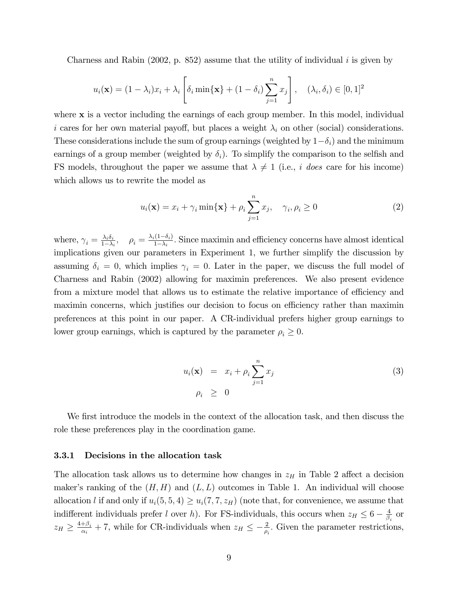Charness and Rabin  $(2002, p. 852)$  assume that the utility of individual i is given by

$$
u_i(\mathbf{x}) = (1 - \lambda_i)x_i + \lambda_i \left[ \delta_i \min\{\mathbf{x}\} + (1 - \delta_i) \sum_{j=1}^n x_j \right], \quad (\lambda_i, \delta_i) \in [0, 1]^2
$$

where **x** is a vector including the earnings of each group member. In this model, individual i cares for her own material payoff, but places a weight  $\lambda_i$  on other (social) considerations. These considerations include the sum of group earnings (weighted by  $1-\delta_i$ ) and the minimum earnings of a group member (weighted by  $\delta_i$ ). To simplify the comparison to the selfish and FS models, throughout the paper we assume that  $\lambda \neq 1$  (i.e., i does care for his income) which allows us to rewrite the model as

$$
u_i(\mathbf{x}) = x_i + \gamma_i \min\{\mathbf{x}\} + \rho_i \sum_{j=1}^n x_j, \quad \gamma_i, \rho_i \ge 0
$$
 (2)

where,  $\gamma_i = \frac{\lambda_i \delta_i}{1 - \lambda_i}$  $\frac{\lambda_i \delta_i}{1-\lambda_i}, \quad \rho_i = \frac{\lambda_i (1-\delta_i)}{1-\lambda_i}$  $\frac{1}{1-\lambda_i}$ . Since maximin and efficiency concerns have almost identical implications given our parameters in Experiment 1, we further simplify the discussion by assuming  $\delta_i = 0$ , which implies  $\gamma_i = 0$ . Later in the paper, we discuss the full model of Charness and Rabin (2002) allowing for maximin preferences. We also present evidence from a mixture model that allows us to estimate the relative importance of efficiency and maximin concerns, which justifies our decision to focus on efficiency rather than maximin preferences at this point in our paper. A CR-individual prefers higher group earnings to lower group earnings, which is captured by the parameter  $\rho_i \geq 0$ .

$$
u_i(\mathbf{x}) = x_i + \rho_i \sum_{j=1}^n x_j
$$
  
\n
$$
\rho_i \geq 0
$$
\n(3)

We first introduce the models in the context of the allocation task, and then discuss the role these preferences play in the coordination game.

#### 3.3.1 Decisions in the allocation task

The allocation task allows us to determine how changes in  $z_H$  in Table 2 affect a decision maker's ranking of the  $(H, H)$  and  $(L, L)$  outcomes in Table 1. An individual will choose allocation l if and only if  $u_i(5, 5, 4) \ge u_i(7, 7, z_H)$  (note that, for convenience, we assume that indifferent individuals prefer l over h). For FS-individuals, this occurs when  $z_H \leq 6 - \frac{4}{\beta_s}$  $\frac{4}{\beta_i}$  or  $z_H \geq \frac{4+\beta_i}{\alpha_i}$  $\frac{+\beta_i}{\alpha_i}$  + 7, while for CR-individuals when  $z_H \leq -\frac{2}{\rho_i}$ . Given the parameter restrictions,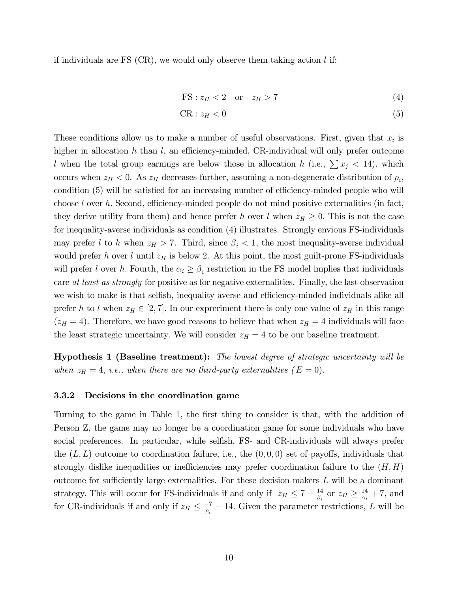if individuals are FS  $(CR)$ , we would only observe them taking action l if:

$$
FS: z_H < 2 \quad \text{or} \quad z_H > 7 \tag{4}
$$

$$
CR: z_H < 0 \tag{5}
$$

These conditions allow us to make a number of useful observations. First, given that  $x_i$  is higher in allocation h than l, an efficiency-minded, CR-individual will only prefer outcome l when the total group earnings are below those in allocation h (i.e.,  $\sum x_i < 14$ ), which occurs when  $z_H < 0$ . As  $z_H$  decreases further, assuming a non-degenerate distribution of  $\rho_i$ , condition (5) will be satisfied for an increasing number of efficiency-minded people who will choose  $l$  over h. Second, efficiency-minded people do not mind positive externalities (in fact, they derive utility from them) and hence prefer h over l when  $z_H \geq 0$ . This is not the case for inequality-averse individuals as condition (4) illustrates. Strongly envious FS-individuals may prefer l to h when  $z_H > 7$ . Third, since  $\beta_i < 1$ , the most inequality-averse individual would prefer h over l until  $z_H$  is below 2. At this point, the most guilt-prone FS-individuals will prefer l over h. Fourth, the  $\alpha_i \geq \beta_i$  restriction in the FS model implies that individuals care at least as strongly for positive as for negative externalities. Finally, the last observation we wish to make is that selfish, inequality averse and efficiency-minded individuals alike all prefer h to l when  $z_H \in [2, 7]$ . In our expreriment there is only one value of  $z_H$  in this range  $(z_H = 4)$ . Therefore, we have good reasons to believe that when  $z_H = 4$  individuals will face the least strategic uncertainty. We will consider  $z_H = 4$  to be our baseline treatment.

Hypothesis 1 (Baseline treatment): The lowest degree of strategic uncertainty will be when  $z_H = 4$ , i.e., when there are no third-party externalities  $(E = 0)$ .

#### 3.3.2 Decisions in the coordination game

Turning to the game in Table 1, the first thing to consider is that, with the addition of Person Z, the game may no longer be a coordination game for some individuals who have social preferences. In particular, while selfish, FS- and CR-individuals will always prefer the  $(L, L)$  outcome to coordination failure, i.e., the  $(0, 0, 0)$  set of payoffs, individuals that strongly dislike inequalities or inefficiencies may prefer coordination failure to the  $(H, H)$ outcome for sufficiently large externalities. For these decision makers  $L$  will be a dominant strategy. This will occur for FS-individuals if and only if  $z_H \leq 7 - \frac{14}{\beta_i}$  $\frac{14}{\beta_i}$  or  $z_H \geq \frac{14}{\alpha_i}$  $\frac{14}{\alpha_i}$  + 7, and for CR-individuals if and only if  $z_H \leq \frac{-7}{\rho_i} - 14$ . Given the parameter restrictions, L will be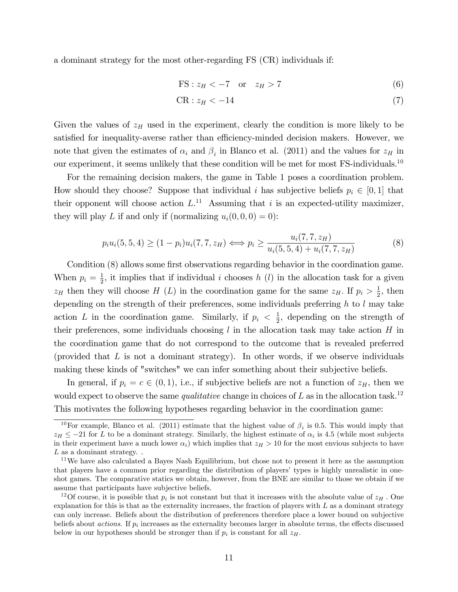a dominant strategy for the most other-regarding FS (CR) individuals if:

$$
FS: z_H < -7 \quad \text{or} \quad z_H > 7 \tag{6}
$$

$$
CR: z_H < -14 \tag{7}
$$

Given the values of  $z_H$  used in the experiment, clearly the condition is more likely to be satisfied for inequality-averse rather than efficiency-minded decision makers. However, we note that given the estimates of  $\alpha_i$  and  $\beta_i$  in Blanco et al. (2011) and the values for  $z_H$  in our experiment, it seems unlikely that these condition will be met for most  $FS$ -individuals.<sup>10</sup>

For the remaining decision makers, the game in Table 1 poses a coordination problem. How should they choose? Suppose that individual i has subjective beliefs  $p_i \in [0, 1]$  that their opponent will choose action  $L^{11}$  Assuming that i is an expected-utility maximizer, they will play L if and only if (normalizing  $u_i(0,0,0) = 0$ ):

$$
p_i u_i(5,5,4) \ge (1-p_i) u_i(7,7,z_H) \iff p_i \ge \frac{u_i(7,7,z_H)}{u_i(5,5,4) + u_i(7,7,z_H)}
$$
(8)

Condition (8) allows some first observations regarding behavior in the coordination game. When  $p_i = \frac{1}{2}$  $\frac{1}{2}$ , it implies that if individual *i* chooses *h* (*l*) in the allocation task for a given  $z_H$  then they will choose H (L) in the coordination game for the same  $z_H$ . If  $p_i > \frac{1}{2}$  $\frac{1}{2}$ , then depending on the strength of their preferences, some individuals preferring  $h$  to  $l$  may take action L in the coordination game. Similarly, if  $p_i < \frac{1}{2}$  $\frac{1}{2}$ , depending on the strength of their preferences, some individuals choosing  $l$  in the allocation task may take action  $H$  in the coordination game that do not correspond to the outcome that is revealed preferred (provided that  $L$  is not a dominant strategy). In other words, if we observe individuals making these kinds of "switches" we can infer something about their subjective beliefs.

In general, if  $p_i = c \in (0, 1)$ , i.e., if subjective beliefs are not a function of  $z_H$ , then we would expect to observe the same *qualitative* change in choices of  $L$  as in the allocation task.<sup>12</sup> This motivates the following hypotheses regarding behavior in the coordination game:

<sup>&</sup>lt;sup>10</sup>For example, Blanco et al. (2011) estimate that the highest value of  $\beta_i$  is 0.5. This would imply that  $z_H \leq -21$  for L to be a dominant strategy. Similarly, the highest estimate of  $\alpha_i$  is 4.5 (while most subjects in their experiment have a much lower  $\alpha_i$ ) which implies that  $z_H > 10$  for the most envious subjects to have  $L$  as a dominant strategy. .

<sup>&</sup>lt;sup>11</sup>We have also calculated a Bayes Nash Equilibrium, but chose not to present it here as the assumption that players have a common prior regarding the distribution of players' types is highly unrealistic in oneshot games. The comparative statics we obtain, however, from the BNE are similar to those we obtain if we assume that participants have subjective beliefs.

<sup>&</sup>lt;sup>12</sup>Of course, it is possible that  $p_i$  is not constant but that it increases with the absolute value of  $z_H$ . One explanation for this is that as the externality increases, the fraction of players with  $L$  as a dominant strategy can only increase. Beliefs about the distribution of preferences therefore place a lower bound on subjective beliefs about *actions*. If  $p_i$  increases as the externality becomes larger in absolute terms, the effects discussed below in our hypotheses should be stronger than if  $p_i$  is constant for all  $z_H$ .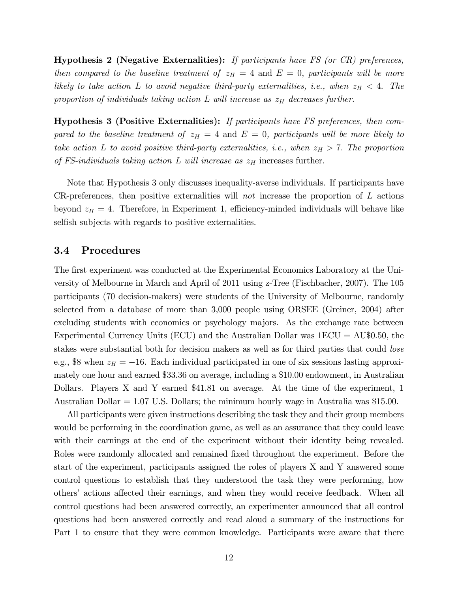Hypothesis 2 (Negative Externalities): If participants have FS (or CR) preferences, then compared to the baseline treatment of  $z_H = 4$  and  $E = 0$ , participants will be more likely to take action L to avoid negative third-party externalities, i.e., when  $z_H < 4$ . The proportion of individuals taking action L will increase as  $z_H$  decreases further.

Hypothesis 3 (Positive Externalities): If participants have FS preferences, then compared to the baseline treatment of  $z_H = 4$  and  $E = 0$ , participants will be more likely to take action L to avoid positive third-party externalities, i.e., when  $z_H > 7$ . The proportion of FS-individuals taking action L will increase as  $z_H$  increases further.

Note that Hypothesis 3 only discusses inequality-averse individuals. If participants have CR-preferences, then positive externalities will not increase the proportion of  $L$  actions beyond  $z_H = 4$ . Therefore, in Experiment 1, efficiency-minded individuals will behave like selfish subjects with regards to positive externalities.

#### 3.4 Procedures

The first experiment was conducted at the Experimental Economics Laboratory at the University of Melbourne in March and April of 2011 using z-Tree (Fischbacher, 2007). The 105 participants (70 decision-makers) were students of the University of Melbourne, randomly selected from a database of more than 3,000 people using ORSEE (Greiner, 2004) after excluding students with economics or psychology majors. As the exchange rate between Experimental Currency Units (ECU) and the Australian Dollar was 1ECU = AU\$0.50, the stakes were substantial both for decision makers as well as for third parties that could *lose* e.g., \$8 when  $z_H = -16$ . Each individual participated in one of six sessions lasting approximately one hour and earned \$33.36 on average, including a \$10.00 endowment, in Australian Dollars. Players X and Y earned \$41.81 on average. At the time of the experiment, 1 Australian Dollar = 1.07 U.S. Dollars; the minimum hourly wage in Australia was \$15.00.

All participants were given instructions describing the task they and their group members would be performing in the coordination game, as well as an assurance that they could leave with their earnings at the end of the experiment without their identity being revealed. Roles were randomly allocated and remained fixed throughout the experiment. Before the start of the experiment, participants assigned the roles of players X and Y answered some control questions to establish that they understood the task they were performing, how others' actions affected their earnings, and when they would receive feedback. When all control questions had been answered correctly, an experimenter announced that all control questions had been answered correctly and read aloud a summary of the instructions for Part 1 to ensure that they were common knowledge. Participants were aware that there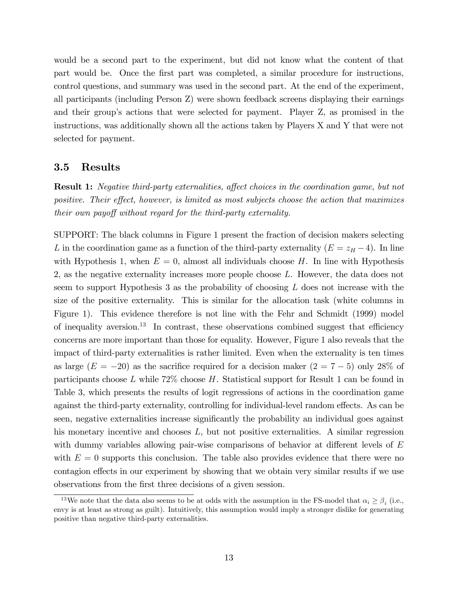would be a second part to the experiment, but did not know what the content of that part would be. Once the first part was completed, a similar procedure for instructions, control questions, and summary was used in the second part. At the end of the experiment, all participants (including Person Z) were shown feedback screens displaying their earnings and their group's actions that were selected for payment. Player Z, as promised in the instructions, was additionally shown all the actions taken by Players X and Y that were not selected for payment.

#### 3.5 Results

**Result 1:** Negative third-party externalities, affect choices in the coordination game, but not positive. Their effect, however, is limited as most subjects choose the action that maximizes their own payoff without regard for the third-party externality.

SUPPORT: The black columns in Figure 1 present the fraction of decision makers selecting L in the coordination game as a function of the third-party externality  $(E = z_H - 4)$ . In line with Hypothesis 1, when  $E = 0$ , almost all individuals choose H. In line with Hypothesis 2, as the negative externality increases more people choose L. However, the data does not seem to support Hypothesis 3 as the probability of choosing  $L$  does not increase with the size of the positive externality. This is similar for the allocation task (white columns in Figure 1). This evidence therefore is not line with the Fehr and Schmidt (1999) model of inequality aversion.<sup>13</sup> In contrast, these observations combined suggest that efficiency concerns are more important than those for equality. However, Figure 1 also reveals that the impact of third-party externalities is rather limited. Even when the externality is ten times as large  $(E = -20)$  as the sacrifice required for a decision maker  $(2 = 7 - 5)$  only 28% of participants choose  $L$  while 72% choose  $H$ . Statistical support for Result 1 can be found in Table 3, which presents the results of logit regressions of actions in the coordination game against the third-party externality, controlling for individual-level random effects. As can be seen, negative externalities increase significantly the probability an individual goes against his monetary incentive and chooses  $L$ , but not positive externalities. A similar regression with dummy variables allowing pair-wise comparisons of behavior at different levels of  $E$ with  $E = 0$  supports this conclusion. The table also provides evidence that there were no contagion effects in our experiment by showing that we obtain very similar results if we use observations from the Örst three decisions of a given session.

<sup>&</sup>lt;sup>13</sup>We note that the data also seems to be at odds with the assumption in the FS-model that  $\alpha_i \geq \beta_i$  (i.e., envy is at least as strong as guilt). Intuitively, this assumption would imply a stronger dislike for generating positive than negative third-party externalities.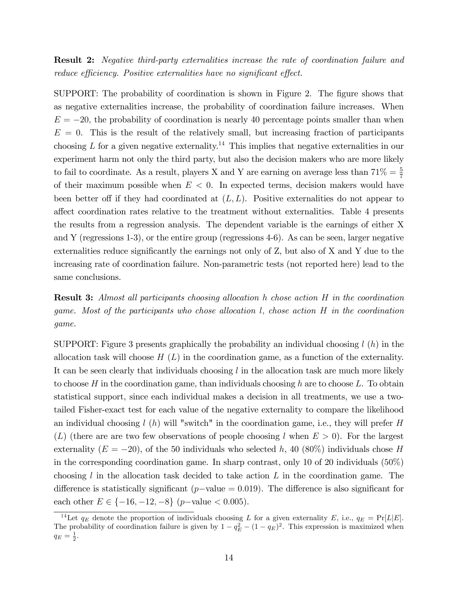Result 2: Negative third-party externalities increase the rate of coordination failure and reduce efficiency. Positive externalities have no significant effect.

SUPPORT: The probability of coordination is shown in Figure 2. The figure shows that as negative externalities increase, the probability of coordination failure increases. When  $E = -20$ , the probability of coordination is nearly 40 percentage points smaller than when  $E = 0$ . This is the result of the relatively small, but increasing fraction of participants choosing L for a given negative externality.<sup>14</sup> This implies that negative externalities in our experiment harm not only the third party, but also the decision makers who are more likely to fail to coordinate. As a result, players X and Y are earning on average less than  $71\% = \frac{5}{7}$ of their maximum possible when  $E < 0$ . In expected terms, decision makers would have been better off if they had coordinated at  $(L, L)$ . Positive externalities do not appear to a§ect coordination rates relative to the treatment without externalities. Table 4 presents the results from a regression analysis. The dependent variable is the earnings of either X and Y (regressions 1-3), or the entire group (regressions 4-6). As can be seen, larger negative externalities reduce significantly the earnings not only of  $Z$ , but also of  $X$  and  $Y$  due to the increasing rate of coordination failure. Non-parametric tests (not reported here) lead to the same conclusions.

Result 3: Almost all participants choosing allocation h chose action H in the coordination game. Most of the participants who chose allocation l; chose action H in the coordination game.

SUPPORT: Figure 3 presents graphically the probability an individual choosing  $l(h)$  in the allocation task will choose  $H(L)$  in the coordination game, as a function of the externality. It can be seen clearly that individuals choosing  $l$  in the allocation task are much more likely to choose H in the coordination game, than individuals choosing h are to choose L. To obtain statistical support, since each individual makes a decision in all treatments, we use a twotailed Fisher-exact test for each value of the negative externality to compare the likelihood an individual choosing  $l(h)$  will "switch" in the coordination game, i.e., they will prefer H  $(L)$  (there are are two few observations of people choosing l when  $E > 0$ ). For the largest externality  $(E = -20)$ , of the 50 individuals who selected h, 40 (80%) individuals chose H in the corresponding coordination game. In sharp contrast, only 10 of 20 individuals (50%) choosing  $l$  in the allocation task decided to take action  $L$  in the coordination game. The difference is statistically significant ( $p$ -value = 0.019). The difference is also significant for each other  $E \in \{-16, -12, -8\}$  (p-value < 0.005).

<sup>&</sup>lt;sup>14</sup>Let  $q_E$  denote the proportion of individuals choosing L for a given externality E, i.e.,  $q_E = \Pr[L|E]$ . The probability of coordination failure is given by  $1 - q_E^2 - (1 - q_E)^2$ . This expression is maximized when  $q_E = \frac{1}{2}.$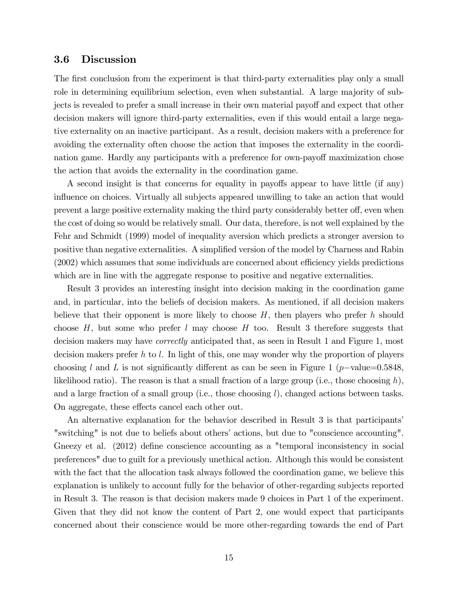#### 3.6 Discussion

The first conclusion from the experiment is that third-party externalities play only a small role in determining equilibrium selection, even when substantial. A large majority of subjects is revealed to prefer a small increase in their own material payoff and expect that other decision makers will ignore third-party externalities, even if this would entail a large negative externality on an inactive participant. As a result, decision makers with a preference for avoiding the externality often choose the action that imposes the externality in the coordination game. Hardly any participants with a preference for own-payoff maximization chose the action that avoids the externality in the coordination game.

A second insight is that concerns for equality in payoffs appear to have little (if any) influence on choices. Virtually all subjects appeared unwilling to take an action that would prevent a large positive externality making the third party considerably better off, even when the cost of doing so would be relatively small. Our data, therefore, is not well explained by the Fehr and Schmidt (1999) model of inequality aversion which predicts a stronger aversion to positive than negative externalities. A simplified version of the model by Charness and Rabin  $(2002)$  which assumes that some individuals are concerned about efficiency yields predictions which are in line with the aggregate response to positive and negative externalities.

Result 3 provides an interesting insight into decision making in the coordination game and, in particular, into the beliefs of decision makers. As mentioned, if all decision makers believe that their opponent is more likely to choose  $H$ , then players who prefer h should choose  $H$ , but some who prefer l may choose  $H$  too. Result 3 therefore suggests that decision makers may have correctly anticipated that, as seen in Result 1 and Figure 1, most decision makers prefer h to l. In light of this, one may wonder why the proportion of players choosing l and L is not significantly different as can be seen in Figure 1 (p-value=0.5848, likelihood ratio). The reason is that a small fraction of a large group (i.e., those choosing  $h$ ), and a large fraction of a small group (i.e., those choosing  $l$ ), changed actions between tasks. On aggregate, these effects cancel each other out.

An alternative explanation for the behavior described in Result 3 is that participantsí "switching" is not due to beliefs about others' actions, but due to "conscience accounting". Gneezy et al. (2012) define conscience accounting as a "temporal inconsistency in social preferences" due to guilt for a previously unethical action. Although this would be consistent with the fact that the allocation task always followed the coordination game, we believe this explanation is unlikely to account fully for the behavior of other-regarding subjects reported in Result 3. The reason is that decision makers made 9 choices in Part 1 of the experiment. Given that they did not know the content of Part 2, one would expect that participants concerned about their conscience would be more other-regarding towards the end of Part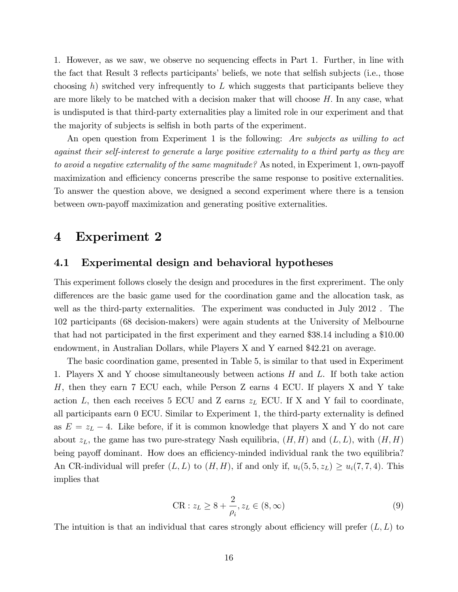1. However, as we saw, we observe no sequencing effects in Part 1. Further, in line with the fact that Result 3 reflects participants' beliefs, we note that selfish subjects (i.e., those choosing h) switched very infrequently to  $L$  which suggests that participants believe they are more likely to be matched with a decision maker that will choose  $H$ . In any case, what is undisputed is that third-party externalities play a limited role in our experiment and that the majority of subjects is selfish in both parts of the experiment.

An open question from Experiment 1 is the following: Are subjects as willing to act against their self-interest to generate a large positive externality to a third party as they are to avoid a negative externality of the same magnitude? As noted, in Experiment 1, own-payoff maximization and efficiency concerns prescribe the same response to positive externalities. To answer the question above, we designed a second experiment where there is a tension between own-payoff maximization and generating positive externalities.

### 4 Experiment 2

#### 4.1 Experimental design and behavioral hypotheses

This experiment follows closely the design and procedures in the first expreriment. The only differences are the basic game used for the coordination game and the allocation task, as well as the third-party externalities. The experiment was conducted in July 2012. The 102 participants (68 decision-makers) were again students at the University of Melbourne that had not participated in the first experiment and they earned \$38.14 including a \$10.00 endowment, in Australian Dollars, while Players X and Y earned \$42.21 on average.

The basic coordination game, presented in Table 5, is similar to that used in Experiment 1. Players X and Y choose simultaneously between actions  $H$  and  $L$ . If both take action H, then they earn 7 ECU each, while Person Z earns 4 ECU. If players X and Y take action L, then each receives 5 ECU and Z earns  $z_L$  ECU. If X and Y fail to coordinate, all participants earn  $0$  ECU. Similar to Experiment 1, the third-party externality is defined as  $E = z_L - 4$ . Like before, if it is common knowledge that players X and Y do not care about  $z<sub>L</sub>$ , the game has two pure-strategy Nash equilibria,  $(H, H)$  and  $(L, L)$ , with  $(H, H)$ being payoff dominant. How does an efficiency-minded individual rank the two equilibria? An CR-individual will prefer  $(L, L)$  to  $(H, H)$ , if and only if,  $u_i(5, 5, z_L) \ge u_i(7, 7, 4)$ . This implies that

$$
CR: z_L \ge 8 + \frac{2}{\rho_i}, z_L \in (8, \infty)
$$
\n
$$
(9)
$$

The intuition is that an individual that cares strongly about efficiency will prefer  $(L, L)$  to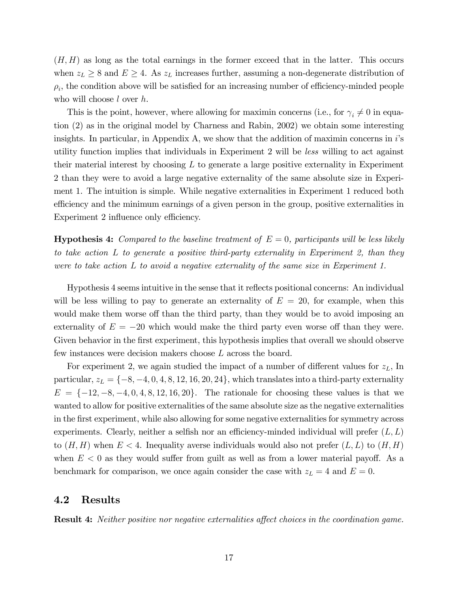$(H, H)$  as long as the total earnings in the former exceed that in the latter. This occurs when  $z_L \geq 8$  and  $E \geq 4$ . As  $z_L$  increases further, assuming a non-degenerate distribution of  $\rho_i$ , the condition above will be satisfied for an increasing number of efficiency-minded people who will choose *l* over *h*.

This is the point, however, where allowing for maximin concerns (i.e., for  $\gamma_i \neq 0$  in equation (2) as in the original model by Charness and Rabin, 2002) we obtain some interesting insights. In particular, in Appendix A, we show that the addition of maximin concerns in  $i$ 's utility function implies that individuals in Experiment 2 will be less willing to act against their material interest by choosing  $L$  to generate a large positive externality in Experiment 2 than they were to avoid a large negative externality of the same absolute size in Experiment 1. The intuition is simple. While negative externalities in Experiment 1 reduced both efficiency and the minimum earnings of a given person in the group, positive externalities in Experiment 2 influence only efficiency.

**Hypothesis 4:** Compared to the baseline treatment of  $E = 0$ , participants will be less likely to take action L to generate a positive third-party externality in Experiment 2, than they were to take action L to avoid a negative externality of the same size in Experiment 1.

Hypothesis 4 seems intuitive in the sense that it reáects positional concerns: An individual will be less willing to pay to generate an externality of  $E = 20$ , for example, when this would make them worse off than the third party, than they would be to avoid imposing an externality of  $E = -20$  which would make the third party even worse off than they were. Given behavior in the first experiment, this hypothesis implies that overall we should observe few instances were decision makers choose L across the board.

For experiment 2, we again studied the impact of a number of different values for  $z_L$ , In particular,  $z_L = \{-8, -4, 0, 4, 8, 12, 16, 20, 24\}$ , which translates into a third-party externality  $E = \{-12, -8, -4, 0, 4, 8, 12, 16, 20\}.$  The rationale for choosing these values is that we wanted to allow for positive externalities of the same absolute size as the negative externalities in the Örst experiment, while also allowing for some negative externalities for symmetry across experiments. Clearly, neither a selfish nor an efficiency-minded individual will prefer  $(L, L)$ to  $(H, H)$  when  $E < 4$ . Inequality averse individuals would also not prefer  $(L, L)$  to  $(H, H)$ when  $E < 0$  as they would suffer from guilt as well as from a lower material payoff. As a benchmark for comparison, we once again consider the case with  $z_L = 4$  and  $E = 0$ .

#### 4.2 Results

**Result 4:** Neither positive nor negative externalities affect choices in the coordination game.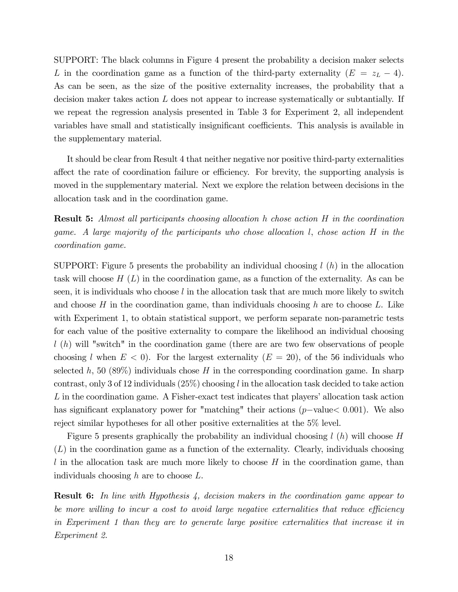SUPPORT: The black columns in Figure 4 present the probability a decision maker selects L in the coordination game as a function of the third-party externality  $(E = z_L - 4)$ . As can be seen, as the size of the positive externality increases, the probability that a decision maker takes action  $L$  does not appear to increase systematically or subtantially. If we repeat the regression analysis presented in Table 3 for Experiment 2, all independent variables have small and statistically insignificant coefficients. This analysis is available in the supplementary material.

It should be clear from Result 4 that neither negative nor positive third-party externalities affect the rate of coordination failure or efficiency. For brevity, the supporting analysis is moved in the supplementary material. Next we explore the relation between decisions in the allocation task and in the coordination game.

Result 5: Almost all participants choosing allocation h chose action H in the coordination game. A large majority of the participants who chose allocation l, chose action H in the coordination game.

SUPPORT: Figure 5 presents the probability an individual choosing  $l(h)$  in the allocation task will choose  $H(L)$  in the coordination game, as a function of the externality. As can be seen, it is individuals who choose  $l$  in the allocation task that are much more likely to switch and choose  $H$  in the coordination game, than individuals choosing  $h$  are to choose  $L$ . Like with Experiment 1, to obtain statistical support, we perform separate non-parametric tests for each value of the positive externality to compare the likelihood an individual choosing  $l(h)$  will "switch" in the coordination game (there are are two few observations of people choosing l when  $E < 0$ ). For the largest externality  $(E = 20)$ , of the 56 individuals who selected h, 50 (89%) individuals chose  $H$  in the corresponding coordination game. In sharp contrast, only 3 of 12 individuals  $(25\%)$  choosing l in the allocation task decided to take action  $L$  in the coordination game. A Fisher-exact test indicates that players' allocation task action has significant explanatory power for "matching" their actions ( $p$ -value $< 0.001$ ). We also reject similar hypotheses for all other positive externalities at the 5% level.

Figure 5 presents graphically the probability an individual choosing  $l(h)$  will choose H  $(L)$  in the coordination game as a function of the externality. Clearly, individuals choosing  $l$  in the allocation task are much more likely to choose  $H$  in the coordination game, than individuals choosing h are to choose L.

**Result 6:** In line with Hypothesis 4, decision makers in the coordination game appear to be more willing to incur a cost to avoid large negative externalities that reduce efficiency in Experiment 1 than they are to generate large positive externalities that increase it in Experiment 2.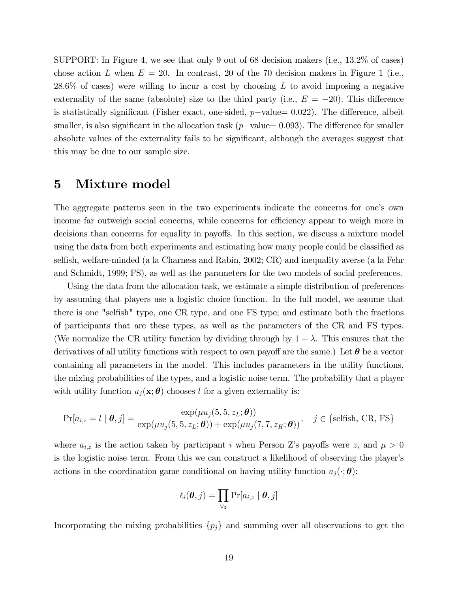SUPPORT: In Figure 4, we see that only 9 out of 68 decision makers (i.e., 13.2% of cases) chose action L when  $E = 20$ . In contrast, 20 of the 70 decision makers in Figure 1 (i.e.,  $28.6\%$  of cases) were willing to incur a cost by choosing L to avoid imposing a negative externality of the same (absolute) size to the third party (i.e.,  $E = -20$ ). This difference is statistically significant (Fisher exact, one-sided,  $p$ -value= 0.022). The difference, albeit smaller, is also significant in the allocation task ( $p$ -value= 0.093). The difference for smaller absolute values of the externality fails to be significant, although the averages suggest that this may be due to our sample size.

## 5 Mixture model

The aggregate patterns seen in the two experiments indicate the concerns for one's own income far outweigh social concerns, while concerns for efficiency appear to weigh more in decisions than concerns for equality in payoffs. In this section, we discuss a mixture model using the data from both experiments and estimating how many people could be classified as selfish, welfare-minded (a la Charness and Rabin, 2002; CR) and inequality averse (a la Fehr and Schmidt, 1999; FS), as well as the parameters for the two models of social preferences.

Using the data from the allocation task, we estimate a simple distribution of preferences by assuming that players use a logistic choice function. In the full model, we assume that there is one "selfish" type, one CR type, and one FS type; and estimate both the fractions of participants that are these types, as well as the parameters of the CR and FS types. (We normalize the CR utility function by dividing through by  $1 - \lambda$ . This ensures that the derivatives of all utility functions with respect to own payoff are the same.) Let  $\theta$  be a vector containing all parameters in the model. This includes parameters in the utility functions, the mixing probabilities of the types, and a logistic noise term. The probability that a player with utility function  $u_i(\mathbf{x}; \theta)$  chooses l for a given externality is:

$$
\Pr[a_{i,z} = l \mid \boldsymbol{\theta}, j] = \frac{\exp(\mu u_j(5, 5, z_L; \boldsymbol{\theta}))}{\exp(\mu u_j(5, 5, z_L; \boldsymbol{\theta})) + \exp(\mu u_j(7, 7, z_H; \boldsymbol{\theta}))}, \quad j \in \{\text{selfish, CR, FS}\}\
$$

where  $a_{i,z}$  is the action taken by participant i when Person Z's payoffs were z, and  $\mu > 0$ is the logistic noise term. From this we can construct a likelihood of observing the player's actions in the coordination game conditional on having utility function  $u_j(\cdot; \theta)$ :

$$
\ell_i(\boldsymbol{\theta},j) = \prod_{\forall z} \Pr[a_{i,z} \mid \boldsymbol{\theta},j]
$$

Incorporating the mixing probabilities  $\{p_j\}$  and summing over all observations to get the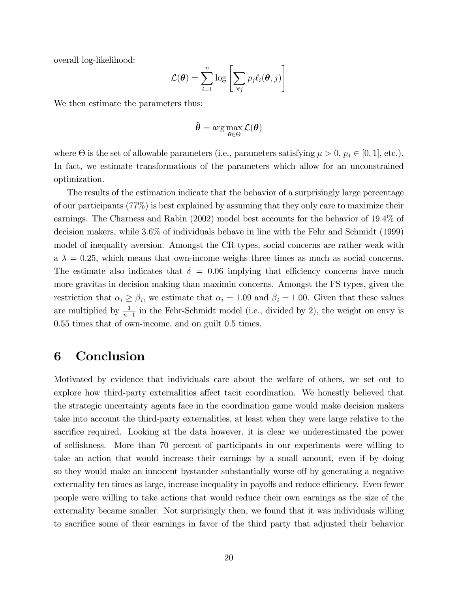overall log-likelihood:

$$
\mathcal{L}(\boldsymbol{\theta}) = \sum_{i=1}^{n} \log \left[ \sum_{\forall j} p_{j} \ell_{i}(\boldsymbol{\theta}, j) \right]
$$

We then estimate the parameters thus:

$$
\hat{\boldsymbol{\theta}} = \arg \max_{\boldsymbol{\theta} \in \Theta} \mathcal{L}(\boldsymbol{\theta})
$$

where  $\Theta$  is the set of allowable parameters (i.e., parameters satisfying  $\mu > 0$ ,  $p_j \in [0, 1]$ , etc.). In fact, we estimate transformations of the parameters which allow for an unconstrained optimization.

The results of the estimation indicate that the behavior of a surprisingly large percentage of our participants (77%) is best explained by assuming that they only care to maximize their earnings. The Charness and Rabin (2002) model best accounts for the behavior of 19:4% of decision makers, while 3:6% of individuals behave in line with the Fehr and Schmidt (1999) model of inequality aversion. Amongst the CR types, social concerns are rather weak with  $a \lambda = 0.25$ , which means that own-income weighs three times as much as social concerns. The estimate also indicates that  $\delta = 0.06$  implying that efficiency concerns have much more gravitas in decision making than maximin concerns. Amongst the FS types, given the restriction that  $\alpha_i \geq \beta_i$ , we estimate that  $\alpha_i = 1.09$  and  $\beta_i = 1.00$ . Given that these values are multiplied by  $\frac{1}{n-1}$  in the Fehr-Schmidt model (i.e., divided by 2), the weight on envy is 0.55 times that of own-income, and on guilt 0.5 times.

# 6 Conclusion

Motivated by evidence that individuals care about the welfare of others, we set out to explore how third-party externalities affect tacit coordination. We honestly believed that the strategic uncertainty agents face in the coordination game would make decision makers take into account the third-party externalities, at least when they were large relative to the sacrifice required. Looking at the data however, it is clear we underestimated the power of selfishness. More than 70 percent of participants in our experiments were willing to take an action that would increase their earnings by a small amount, even if by doing so they would make an innocent by stander substantially worse of the generating a negative externality ten times as large, increase inequality in payoffs and reduce efficiency. Even fewer people were willing to take actions that would reduce their own earnings as the size of the externality became smaller. Not surprisingly then, we found that it was individuals willing to sacrifice some of their earnings in favor of the third party that adjusted their behavior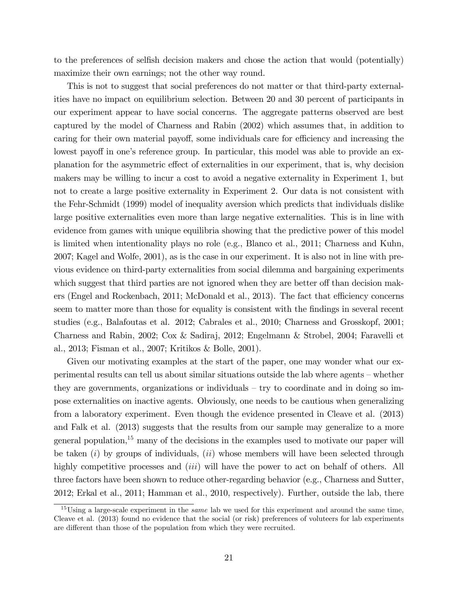to the preferences of selfish decision makers and chose the action that would (potentially) maximize their own earnings; not the other way round.

This is not to suggest that social preferences do not matter or that third-party externalities have no impact on equilibrium selection. Between 20 and 30 percent of participants in our experiment appear to have social concerns. The aggregate patterns observed are best captured by the model of Charness and Rabin (2002) which assumes that, in addition to caring for their own material payoff, some individuals care for efficiency and increasing the lowest payoff in one's reference group. In particular, this model was able to provide an explanation for the asymmetric effect of externalities in our experiment, that is, why decision makers may be willing to incur a cost to avoid a negative externality in Experiment 1, but not to create a large positive externality in Experiment 2. Our data is not consistent with the Fehr-Schmidt (1999) model of inequality aversion which predicts that individuals dislike large positive externalities even more than large negative externalities. This is in line with evidence from games with unique equilibria showing that the predictive power of this model is limited when intentionality plays no role (e.g., Blanco et al., 2011; Charness and Kuhn, 2007; Kagel and Wolfe, 2001), as is the case in our experiment. It is also not in line with previous evidence on third-party externalities from social dilemma and bargaining experiments which suggest that third parties are not ignored when they are better off than decision makers (Engel and Rockenbach, 2011; McDonald et al., 2013). The fact that efficiency concerns seem to matter more than those for equality is consistent with the findings in several recent studies (e.g., Balafoutas et al. 2012; Cabrales et al., 2010; Charness and Grosskopf, 2001; Charness and Rabin, 2002; Cox & Sadiraj, 2012; Engelmann & Strobel, 2004; Faravelli et al., 2013; Fisman et al., 2007; Kritikos & Bolle, 2001).

Given our motivating examples at the start of the paper, one may wonder what our experimental results can tell us about similar situations outside the lab where agents – whether they are governments, organizations or individuals  $-$  try to coordinate and in doing so impose externalities on inactive agents. Obviously, one needs to be cautious when generalizing from a laboratory experiment. Even though the evidence presented in Cleave et al. (2013) and Falk et al. (2013) suggests that the results from our sample may generalize to a more general population, $15$  many of the decisions in the examples used to motivate our paper will be taken  $(i)$  by groups of individuals,  $(ii)$  whose members will have been selected through highly competitive processes and *(iii)* will have the power to act on behalf of others. All three factors have been shown to reduce other-regarding behavior (e.g., Charness and Sutter, 2012; Erkal et al., 2011; Hamman et al., 2010, respectively). Further, outside the lab, there

<sup>&</sup>lt;sup>15</sup>Using a large-scale experiment in the *same* lab we used for this experiment and around the same time, Cleave et al. (2013) found no evidence that the social (or risk) preferences of voluteers for lab experiments are different than those of the population from which they were recruited.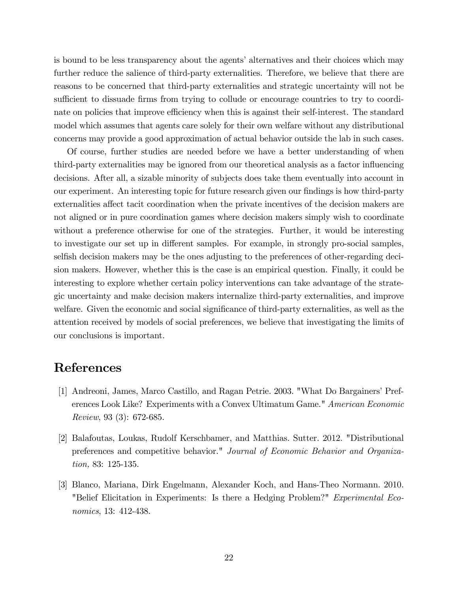is bound to be less transparency about the agents' alternatives and their choices which may further reduce the salience of third-party externalities. Therefore, we believe that there are reasons to be concerned that third-party externalities and strategic uncertainty will not be sufficient to dissuade firms from trying to collude or encourage countries to try to coordinate on policies that improve efficiency when this is against their self-interest. The standard model which assumes that agents care solely for their own welfare without any distributional concerns may provide a good approximation of actual behavior outside the lab in such cases.

Of course, further studies are needed before we have a better understanding of when third-party externalities may be ignored from our theoretical analysis as a factor ináuencing decisions. After all, a sizable minority of subjects does take them eventually into account in our experiment. An interesting topic for future research given our findings is how third-party externalities affect tacit coordination when the private incentives of the decision makers are not aligned or in pure coordination games where decision makers simply wish to coordinate without a preference otherwise for one of the strategies. Further, it would be interesting to investigate our set up in different samples. For example, in strongly pro-social samples, selfish decision makers may be the ones adjusting to the preferences of other-regarding decision makers. However, whether this is the case is an empirical question. Finally, it could be interesting to explore whether certain policy interventions can take advantage of the strategic uncertainty and make decision makers internalize third-party externalities, and improve welfare. Given the economic and social significance of third-party externalities, as well as the attention received by models of social preferences, we believe that investigating the limits of our conclusions is important.

# References

- [1] Andreoni, James, Marco Castillo, and Ragan Petrie. 2003. "What Do Bargainers' Preferences Look Like? Experiments with a Convex Ultimatum Game." American Economic Review, 93 (3): 672-685.
- [2] Balafoutas, Loukas, Rudolf Kerschbamer, and Matthias. Sutter. 2012. "Distributional preferences and competitive behavior." Journal of Economic Behavior and Organization, 83: 125-135.
- [3] Blanco, Mariana, Dirk Engelmann, Alexander Koch, and Hans-Theo Normann. 2010. "Belief Elicitation in Experiments: Is there a Hedging Problem?" Experimental Economics, 13: 412-438.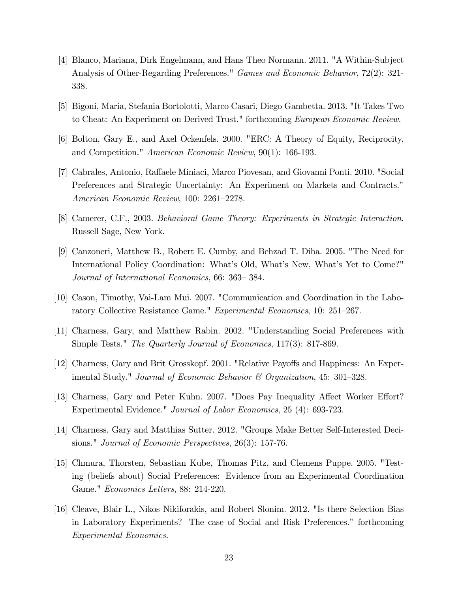- [4] Blanco, Mariana, Dirk Engelmann, and Hans Theo Normann. 2011. "A Within-Subject Analysis of Other-Regarding Preferences." Games and Economic Behavior, 72(2): 321- 338.
- [5] Bigoni, Maria, Stefania Bortolotti, Marco Casari, Diego Gambetta. 2013. "It Takes Two to Cheat: An Experiment on Derived Trust." forthcoming European Economic Review.
- [6] Bolton, Gary E., and Axel Ockenfels. 2000. "ERC: A Theory of Equity, Reciprocity, and Competition." American Economic Review, 90(1): 166-193.
- [7] Cabrales, Antonio, Raffaele Miniaci, Marco Piovesan, and Giovanni Ponti. 2010. "Social Preferences and Strategic Uncertainty: An Experiment on Markets and Contracts.<sup>n</sup> American Economic Review, 100: 2261–2278.
- [8] Camerer, C.F., 2003. Behavioral Game Theory: Experiments in Strategic Interaction. Russell Sage, New York.
- [9] Canzoneri, Matthew B., Robert E. Cumby, and Behzad T. Diba. 2005. "The Need for International Policy Coordination: What's Old, What's New, What's Yet to Come?" Journal of International Economics, 66: 363–384.
- [10] Cason, Timothy, Vai-Lam Mui. 2007. "Communication and Coordination in the Laboratory Collective Resistance Game." Experimental Economics, 10: 251–267.
- [11] Charness, Gary, and Matthew Rabin. 2002. "Understanding Social Preferences with Simple Tests." The Quarterly Journal of Economics, 117(3): 817-869.
- [12] Charness, Gary and Brit Grosskopf. 2001. "Relative Payoffs and Happiness: An Experimental Study." Journal of Economic Behavior & Organization, 45: 301–328.
- [13] Charness, Gary and Peter Kuhn. 2007. "Does Pay Inequality Affect Worker Effort? Experimental Evidence." Journal of Labor Economics, 25 (4): 693-723.
- [14] Charness, Gary and Matthias Sutter. 2012. "Groups Make Better Self-Interested Decisions." Journal of Economic Perspectives, 26(3): 157-76.
- [15] Chmura, Thorsten, Sebastian Kube, Thomas Pitz, and Clemens Puppe. 2005. "Testing (beliefs about) Social Preferences: Evidence from an Experimental Coordination Game." Economics Letters, 88: 214-220.
- [16] Cleave, Blair L., Nikos Nikiforakis, and Robert Slonim. 2012. "Is there Selection Bias in Laboratory Experiments? The case of Social and Risk Preferences." forthcoming Experimental Economics.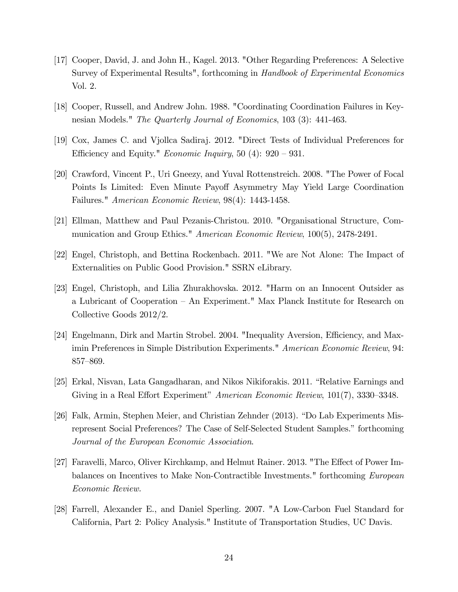- [17] Cooper, David, J. and John H., Kagel. 2013. "Other Regarding Preferences: A Selective Survey of Experimental Results", forthcoming in Handbook of Experimental Economics Vol. 2.
- [18] Cooper, Russell, and Andrew John. 1988. "Coordinating Coordination Failures in Keynesian Models." The Quarterly Journal of Economics, 103 (3): 441-463.
- [19] Cox, James C. and Vjollca Sadiraj. 2012. "Direct Tests of Individual Preferences for Efficiency and Equity." *Economic Inquiry*, 50 (4):  $920 - 931$ .
- [20] Crawford, Vincent P., Uri Gneezy, and Yuval Rottenstreich. 2008. "The Power of Focal Points Is Limited: Even Minute Payoff Asymmetry May Yield Large Coordination Failures." American Economic Review, 98(4): 1443-1458.
- [21] Ellman, Matthew and Paul Pezanis-Christou. 2010. "Organisational Structure, Communication and Group Ethics." American Economic Review, 100(5), 2478-2491.
- [22] Engel, Christoph, and Bettina Rockenbach. 2011. "We are Not Alone: The Impact of Externalities on Public Good Provision." SSRN eLibrary.
- [23] Engel, Christoph, and Lilia Zhurakhovska. 2012. "Harm on an Innocent Outsider as a Lubricant of Cooperation – An Experiment." Max Planck Institute for Research on Collective Goods 2012/2.
- [24] Engelmann, Dirk and Martin Strobel. 2004. "Inequality Aversion, Efficiency, and Maximin Preferences in Simple Distribution Experiments." American Economic Review, 94: 857–869.
- [25] Erkal, Nisvan, Lata Gangadharan, and Nikos Nikiforakis. 2011. "Relative Earnings and Giving in a Real Effort Experiment" American Economic Review,  $101(7)$ , 3330–3348.
- [26] Falk, Armin, Stephen Meier, and Christian Zehnder (2013). "Do Lab Experiments Misrepresent Social Preferences? The Case of Self-Selected Student Samples." forthcoming Journal of the European Economic Association.
- [27] Faravelli, Marco, Oliver Kirchkamp, and Helmut Rainer. 2013. "The Effect of Power Imbalances on Incentives to Make Non-Contractible Investments." forthcoming European Economic Review.
- [28] Farrell, Alexander E., and Daniel Sperling. 2007. "A Low-Carbon Fuel Standard for California, Part 2: Policy Analysis." Institute of Transportation Studies, UC Davis.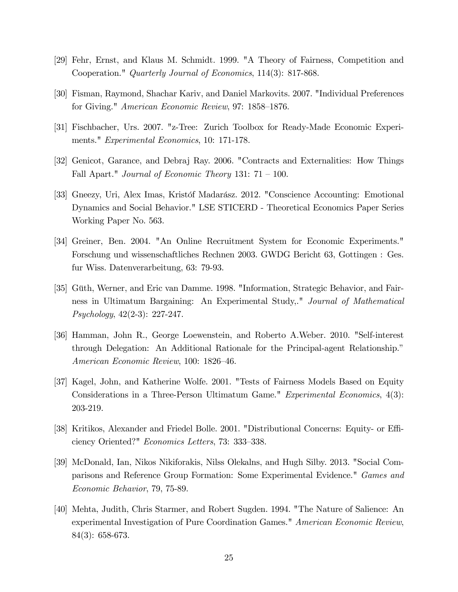- [29] Fehr, Ernst, and Klaus M. Schmidt. 1999. "A Theory of Fairness, Competition and Cooperation." Quarterly Journal of Economics, 114(3): 817-868.
- [30] Fisman, Raymond, Shachar Kariv, and Daniel Markovits. 2007. "Individual Preferences for Giving." American Economic Review, 97: 1858–1876.
- [31] Fischbacher, Urs. 2007. "z-Tree: Zurich Toolbox for Ready-Made Economic Experiments." Experimental Economics, 10: 171-178.
- [32] Genicot, Garance, and Debraj Ray. 2006. "Contracts and Externalities: How Things Fall Apart." Journal of Economic Theory 131:  $71 - 100$ .
- [33] Gneezy, Uri, Alex Imas, Kristof Madarász. 2012. "Conscience Accounting: Emotional Dynamics and Social Behavior." LSE STICERD - Theoretical Economics Paper Series Working Paper No. 563.
- [34] Greiner, Ben. 2004. "An Online Recruitment System for Economic Experiments." Forschung und wissenschaftliches Rechnen 2003. GWDG Bericht 63, Gottingen : Ges. fur Wiss. Datenverarbeitung, 63: 79-93.
- [35] Güth, Werner, and Eric van Damme. 1998. "Information, Strategic Behavior, and Fairness in Ultimatum Bargaining: An Experimental Study,." Journal of Mathematical Psychology, 42(2-3): 227-247.
- [36] Hamman, John R., George Loewenstein, and Roberto A.Weber. 2010. "Self-interest through Delegation: An Additional Rationale for the Principal-agent Relationship.<sup>n</sup> American Economic Review, 100: 1826-46.
- [37] Kagel, John, and Katherine Wolfe. 2001. "Tests of Fairness Models Based on Equity Considerations in a Three-Person Ultimatum Game." Experimental Economics, 4(3): 203-219.
- [38] Kritikos, Alexander and Friedel Bolle. 2001. "Distributional Concerns: Equity- or Efficiency Oriented?" Economics Letters, 73: 333-338.
- [39] McDonald, Ian, Nikos Nikiforakis, Nilss Olekalns, and Hugh Silby. 2013. "Social Comparisons and Reference Group Formation: Some Experimental Evidence." Games and Economic Behavior, 79, 75-89.
- [40] Mehta, Judith, Chris Starmer, and Robert Sugden. 1994. "The Nature of Salience: An experimental Investigation of Pure Coordination Games." American Economic Review, 84(3): 658-673.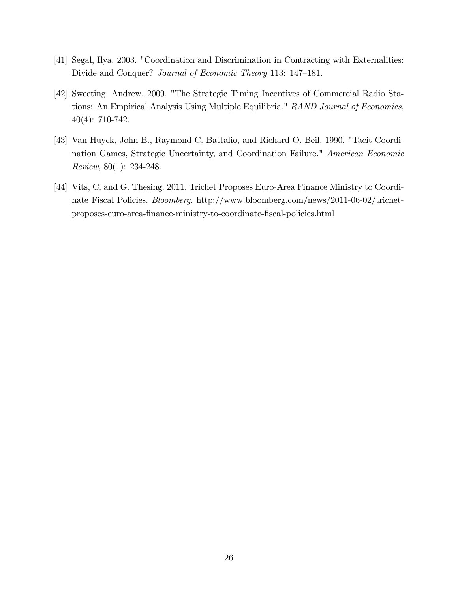- [41] Segal, Ilya. 2003. "Coordination and Discrimination in Contracting with Externalities: Divide and Conquer? Journal of Economic Theory 113: 147–181.
- [42] Sweeting, Andrew. 2009. "The Strategic Timing Incentives of Commercial Radio Stations: An Empirical Analysis Using Multiple Equilibria." RAND Journal of Economics, 40(4): 710-742.
- [43] Van Huyck, John B., Raymond C. Battalio, and Richard O. Beil. 1990. "Tacit Coordination Games, Strategic Uncertainty, and Coordination Failure." American Economic Review, 80(1): 234-248.
- [44] Vits, C. and G. Thesing. 2011. Trichet Proposes Euro-Area Finance Ministry to Coordinate Fiscal Policies. Bloomberg. http://www.bloomberg.com/news/2011-06-02/trichetproposes-euro-area-Önance-ministry-to-coordinate-Öscal-policies.html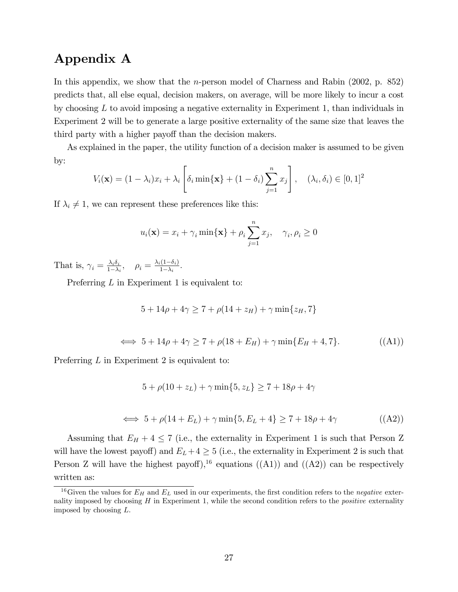# Appendix A

In this appendix, we show that the *n*-person model of Charness and Rabin  $(2002, p. 852)$ predicts that, all else equal, decision makers, on average, will be more likely to incur a cost by choosing  $L$  to avoid imposing a negative externality in Experiment 1, than individuals in Experiment 2 will be to generate a large positive externality of the same size that leaves the third party with a higher payoff than the decision makers.

As explained in the paper, the utility function of a decision maker is assumed to be given by:

$$
V_i(\mathbf{x}) = (1 - \lambda_i)x_i + \lambda_i \left[ \delta_i \min\{\mathbf{x}\} + (1 - \delta_i) \sum_{j=1}^n x_j \right], \quad (\lambda_i, \delta_i) \in [0, 1]^2
$$

If  $\lambda_i \neq 1$ , we can represent these preferences like this:

$$
u_i(\mathbf{x}) = x_i + \gamma_i \min\{\mathbf{x}\} + \rho_i \sum_{j=1}^n x_j, \quad \gamma_i, \rho_i \ge 0
$$

That is,  $\gamma_i = \frac{\lambda_i \delta_i}{1 - \lambda_i}$  $\frac{\lambda_i \delta_i}{1-\lambda_i}, \quad \rho_i = \frac{\lambda_i (1-\delta_i)}{1-\lambda_i}$  $\frac{(1-o_i)}{1-\lambda_i}$ .

Preferring L in Experiment 1 is equivalent to:

$$
5 + 14\rho + 4\gamma \ge 7 + \rho(14 + z_H) + \gamma \min\{z_H, 7\}
$$
  

$$
\iff 5 + 14\rho + 4\gamma \ge 7 + \rho(18 + E_H) + \gamma \min\{E_H + 4, 7\}. \tag{ (A1)}
$$

Preferring L in Experiment 2 is equivalent to:

$$
5 + \rho(10 + z_L) + \gamma \min\{5, z_L\} \ge 7 + 18\rho + 4\gamma
$$

$$
\iff 5 + \rho(14 + E_L) + \gamma \min\{5, E_L + 4\} \ge 7 + 18\rho + 4\gamma \tag{A2}
$$

Assuming that  $E_H + 4 \le 7$  (i.e., the externality in Experiment 1 is such that Person Z will have the lowest payoff) and  $E_L + 4 \geq 5$  (i.e., the externality in Experiment 2 is such that Person Z will have the highest payoff),<sup>16</sup> equations ((A1)) and ((A2)) can be respectively written as:

<sup>&</sup>lt;sup>16</sup>Given the values for  $E_H$  and  $E_L$  used in our experiments, the first condition refers to the negative externality imposed by choosing  $H$  in Experiment 1, while the second condition refers to the *positive* externality imposed by choosing  $L$ .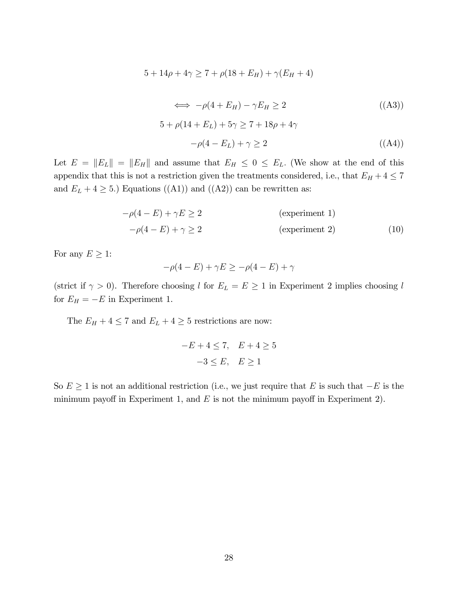$$
5 + 14\rho + 4\gamma \ge 7 + \rho(18 + E_H) + \gamma(E_H + 4)
$$

$$
\iff -\rho(4 + E_H) - \gamma E_H \ge 2 \tag{ (A3)}
$$
  
\n
$$
5 + \rho(14 + E_L) + 5\gamma \ge 7 + 18\rho + 4\gamma
$$
  
\n
$$
-\rho(4 - E_L) + \gamma \ge 2 \tag{ (A4)}
$$

Let  $E = ||E_L|| = ||E_H||$  and assume that  $E_H \leq 0 \leq E_L$ . (We show at the end of this appendix that this is not a restriction given the treatments considered, i.e., that  $E_H + 4 \leq 7$ and  $E_L + 4 \geq 5$ .) Equations ((A1)) and ((A2)) can be rewritten as:

$$
-\rho(4 - E) + \gamma E \ge 2
$$
 (experiment 1)  

$$
-\rho(4 - E) + \gamma \ge 2
$$
 (experiment 2) (10)

For any  $E \geq 1$ :

$$
-\rho(4 - E) + \gamma E \ge -\rho(4 - E) + \gamma
$$

(strict if  $\gamma > 0$ ). Therefore choosing l for  $E_L = E \ge 1$  in Experiment 2 implies choosing l for  $E_H = -E$  in Experiment 1.

The  $E_H + 4 \le 7$  and  $E_L + 4 \ge 5$  restrictions are now:

$$
-E + 4 \le 7, \quad E + 4 \ge 5
$$

$$
-3 \le E, \quad E \ge 1
$$

So  $E \ge 1$  is not an additional restriction (i.e., we just require that E is such that  $-E$  is the minimum payoff in Experiment 1, and  $E$  is not the minimum payoff in Experiment 2).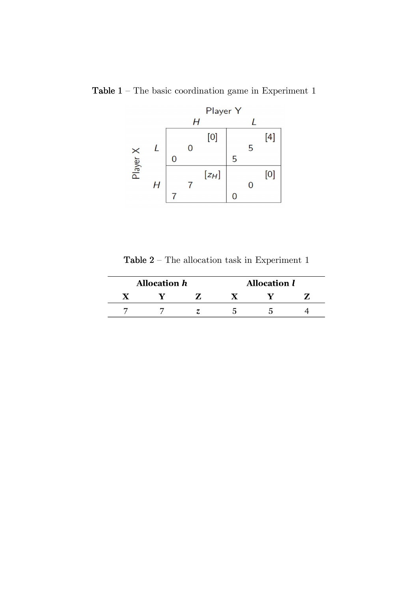

Table  $1$  – The basic coordination game in Experiment  $1$ 

Table  $\sqrt{2}$  – The allocation task in Experiment  $1$ 

| <b>Allocation h</b> |  | <b>Allocation l</b> |  |
|---------------------|--|---------------------|--|
|                     |  |                     |  |
|                     |  |                     |  |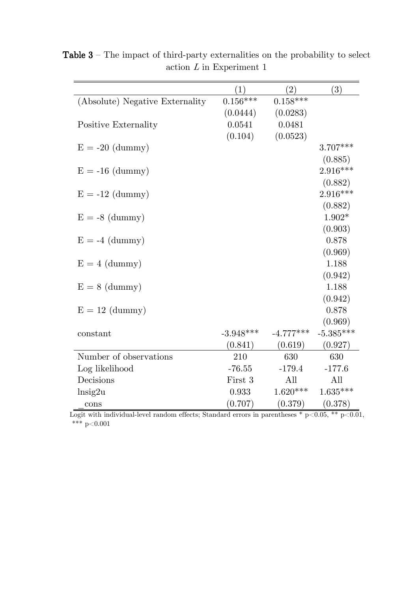|                                 | (1)         | (2)         | (3)         |
|---------------------------------|-------------|-------------|-------------|
| (Absolute) Negative Externality | $0.156***$  | $0.158***$  |             |
|                                 | (0.0444)    | (0.0283)    |             |
| Positive Externality            | 0.0541      | 0.0481      |             |
|                                 | (0.104)     | (0.0523)    |             |
| $E = -20$ (dummy)               |             |             | $3.707***$  |
|                                 |             |             | (0.885)     |
| $E = -16$ (dummy)               |             |             | $2.916***$  |
|                                 |             |             | (0.882)     |
| $E = -12$ (dummy)               |             |             | $2.916***$  |
|                                 |             |             | (0.882)     |
| $E = -8$ (dummy)                |             |             | $1.902*$    |
|                                 |             |             | (0.903)     |
| $E = -4$ (dummy)                |             |             | 0.878       |
|                                 |             |             | (0.969)     |
| $E = 4$ (dummy)                 |             |             | 1.188       |
|                                 |             |             | (0.942)     |
| $E = 8$ (dummy)                 |             |             | 1.188       |
|                                 |             |             | (0.942)     |
| $E = 12$ (dummy)                |             |             | 0.878       |
|                                 |             |             | (0.969)     |
| constant                        | $-3.948***$ | $-4.777***$ | $-5.385***$ |
|                                 | (0.841)     | (0.619)     | (0.927)     |
| Number of observations          | 210         | 630         | 630         |
| Log likelihood                  | $-76.55$    | $-179.4$    | $-177.6$    |
| Decisions                       | First 3     | All         | All         |
| $\ln$ sig2u                     | 0.933       | $1.620***$  | $1.635***$  |
| cons                            | (0.707)     | (0.379)     | (0.378)     |

Table  $3$  – The impact of third-party externalities on the probability to select action  $L$  in Experiment 1

Logit with individual-level random effects; Standard errors in parentheses  $* p < 0.05, ** p < 0.01$ , \*\*\*  $p<0.001$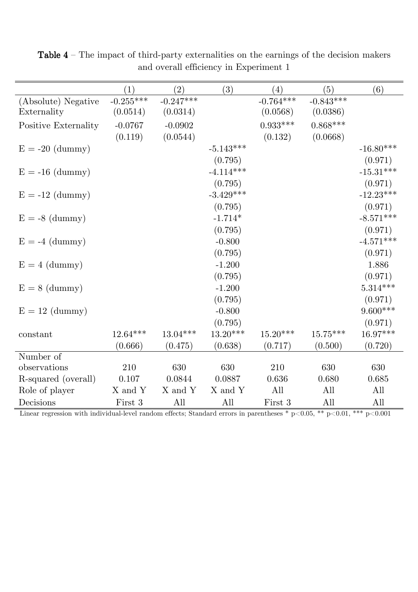|                      | (1)         | (2)         | (3)         | (4)         | (5)         | (6)         |
|----------------------|-------------|-------------|-------------|-------------|-------------|-------------|
| (Absolute) Negative  | $-0.255***$ | $-0.247***$ |             | $-0.764***$ | $-0.843***$ |             |
| Externality          | (0.0514)    | (0.0314)    |             | (0.0568)    | (0.0386)    |             |
| Positive Externality | $-0.0767$   | $-0.0902$   |             | $0.933***$  | $0.868***$  |             |
|                      | (0.119)     | (0.0544)    |             | (0.132)     | (0.0668)    |             |
| $E = -20$ (dummy)    |             |             | $-5.143***$ |             |             | $-16.80***$ |
|                      |             |             | (0.795)     |             |             | (0.971)     |
| $E = -16$ (dummy)    |             |             | $-4.114***$ |             |             | $-15.31***$ |
|                      |             |             | (0.795)     |             |             | (0.971)     |
| $E = -12$ (dummy)    |             |             | $-3.429***$ |             |             | $-12.23***$ |
|                      |             |             | (0.795)     |             |             | (0.971)     |
| $E = -8$ (dummy)     |             |             | $-1.714*$   |             |             | $-8.571***$ |
|                      |             |             | (0.795)     |             |             | (0.971)     |
| $E = -4$ (dummy)     |             |             | $-0.800$    |             |             | $-4.571***$ |
|                      |             |             | (0.795)     |             |             | (0.971)     |
| $E = 4$ (dummy)      |             |             | $-1.200$    |             |             | 1.886       |
|                      |             |             | (0.795)     |             |             | (0.971)     |
| $E = 8$ (dummy)      |             |             | $-1.200$    |             |             | $5.314***$  |
|                      |             |             | (0.795)     |             |             | (0.971)     |
| $E = 12$ (dummy)     |             |             | $-0.800$    |             |             | $9.600***$  |
|                      |             |             | (0.795)     |             |             | (0.971)     |
| constant             | $12.64***$  | $13.04***$  | $13.20***$  | $15.20***$  | $15.75***$  | $16.97***$  |
|                      | (0.666)     | (0.475)     | (0.638)     | (0.717)     | (0.500)     | (0.720)     |
| Number of            |             |             |             |             |             |             |
| observations         | 210         | 630         | 630         | 210         | 630         | 630         |
| R-squared (overall)  | 0.107       | 0.0844      | 0.0887      | 0.636       | 0.680       | 0.685       |
| Role of player       | X and Y     | X and Y     | X and Y     | All         | All         | All         |
| Decisions            | First 3     | All         | All         | First 3     | All         | All         |

Table  $4$  – The impact of third-party externalities on the earnings of the decision makers and overall efficiency in Experiment 1

Linear regression with individual-level random effects; Standard errors in parentheses  $* p<0.05$ ,  $** p<0.01$ ,  $*** p<0.001$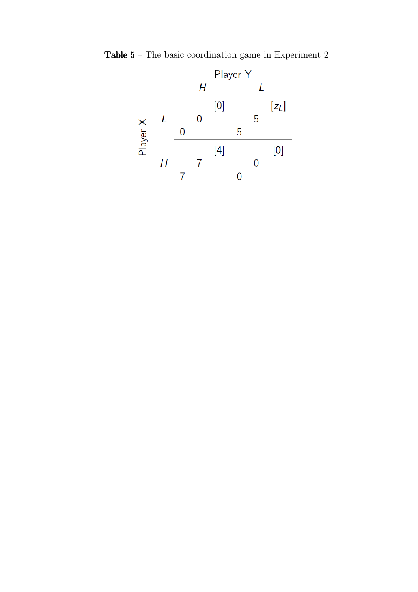

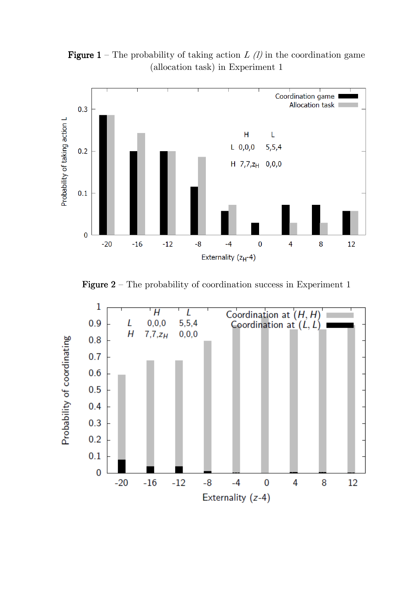**Figure 1** – The probability of taking action  $L(\ell)$  in the coordination game (allocation task) in Experiment 1



**Figure 2** – The probability of coordination success in Experiment 1

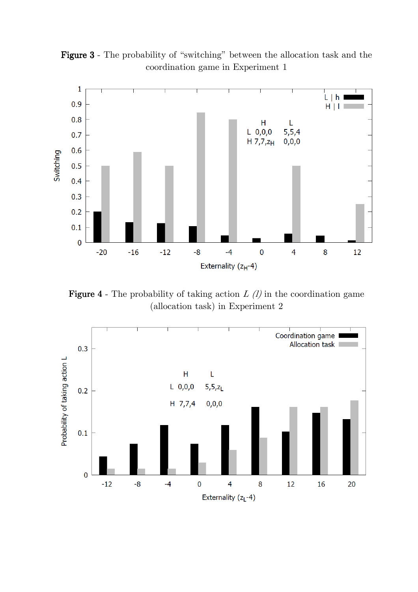Figure 3 - The probability of "switching" between the allocation task and the coordination game in Experiment 1



**Figure 4** - The probability of taking action  $L(l)$  in the coordination game (allocation task) in Experiment 2

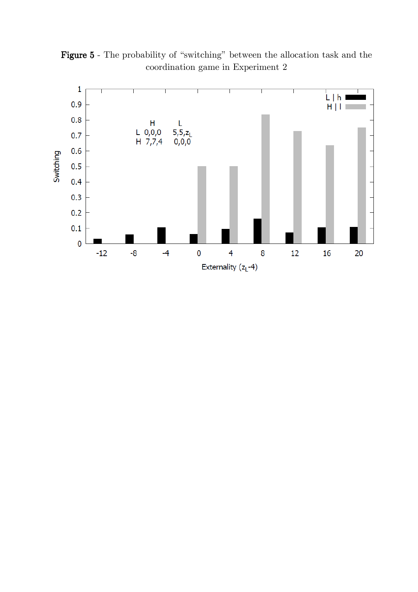

Figure 5 - The probability of "switching" between the allocation task and the coordination game in Experiment 2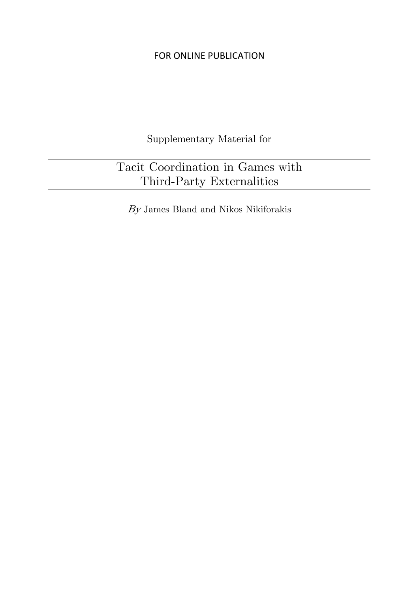Supplementary Material for

# Tacit Coordination in Games with Third-Party Externalities

 $By$  James Bland and Nikos Nikiforakis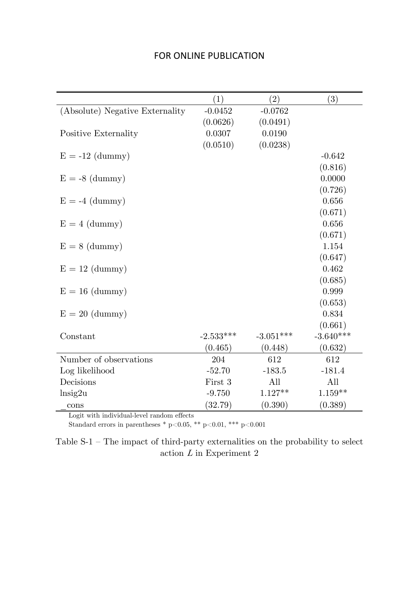| FOR ONLINE PUBLICATION |  |
|------------------------|--|
|------------------------|--|

|                                 | (1)         | $\left( 2\right)$ | (3)         |
|---------------------------------|-------------|-------------------|-------------|
| (Absolute) Negative Externality | $-0.0452$   | $-0.0762$         |             |
|                                 | (0.0626)    | (0.0491)          |             |
| Positive Externality            | 0.0307      | 0.0190            |             |
|                                 | (0.0510)    | (0.0238)          |             |
| $E = -12$ (dummy)               |             |                   | $-0.642$    |
|                                 |             |                   | (0.816)     |
| $E = -8$ (dummy)                |             |                   | 0.0000      |
|                                 |             |                   | (0.726)     |
| $E = -4$ (dummy)                |             |                   | 0.656       |
|                                 |             |                   | (0.671)     |
| $E = 4$ (dummy)                 |             |                   | 0.656       |
|                                 |             |                   | (0.671)     |
| $E = 8$ (dummy)                 |             |                   | 1.154       |
|                                 |             |                   | (0.647)     |
| $E = 12$ (dummy)                |             |                   | 0.462       |
|                                 |             |                   | (0.685)     |
| $E = 16$ (dummy)                |             |                   | 0.999       |
|                                 |             |                   | (0.653)     |
| $E = 20$ (dummy)                |             |                   | 0.834       |
|                                 |             |                   | (0.661)     |
| Constant                        | $-2.533***$ | $-3.051***$       | $-3.640***$ |
|                                 | (0.465)     | (0.448)           | (0.632)     |
| Number of observations          | 204         | 612               | 612         |
| Log likelihood                  | $-52.70$    | $-183.5$          | $-181.4$    |
| Decisions                       | First 3     | All               | All         |
| $\ln$ sig2u                     | $-9.750$    | $1.127**$         | $1.159**$   |
| cons                            | (32.79)     | (0.390)           | (0.389)     |

Logit with individual-level random effects

Standard errors in parentheses \* p<0.05, \*\* p<0.01, \*\*\* p<0.001

Table  $S-1$  – The impact of third-party externalities on the probability to select action  $L$  in Experiment 2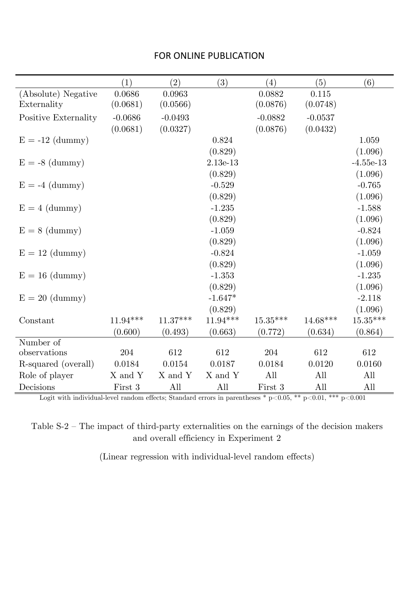|                      | (1)        | (2)        | (3)        | (4)        | (5)        | (6)         |
|----------------------|------------|------------|------------|------------|------------|-------------|
| (Absolute) Negative  | 0.0686     | 0.0963     |            | 0.0882     | 0.115      |             |
| Externality          | (0.0681)   | (0.0566)   |            | (0.0876)   | (0.0748)   |             |
| Positive Externality | $-0.0686$  | $-0.0493$  |            | $-0.0882$  | $-0.0537$  |             |
|                      | (0.0681)   | (0.0327)   |            | (0.0876)   | (0.0432)   |             |
| $E = -12$ (dummy)    |            |            | 0.824      |            |            | 1.059       |
|                      |            |            | (0.829)    |            |            | (1.096)     |
| $E = -8$ (dummy)     |            |            | $2.13e-13$ |            |            | $-4.55e-13$ |
|                      |            |            | (0.829)    |            |            | (1.096)     |
| $E = -4$ (dummy)     |            |            | $-0.529$   |            |            | $-0.765$    |
|                      |            |            | (0.829)    |            |            | (1.096)     |
| $E = 4$ (dummy)      |            |            | $-1.235$   |            |            | $-1.588$    |
|                      |            |            | (0.829)    |            |            | (1.096)     |
| $E = 8$ (dummy)      |            |            | $-1.059$   |            |            | $-0.824$    |
|                      |            |            | (0.829)    |            |            | (1.096)     |
| $E = 12$ (dummy)     |            |            | $-0.824$   |            |            | $-1.059$    |
|                      |            |            | (0.829)    |            |            | (1.096)     |
| $E = 16$ (dummy)     |            |            | $-1.353$   |            |            | $-1.235$    |
|                      |            |            | (0.829)    |            |            | (1.096)     |
| $E = 20$ (dummy)     |            |            | $-1.647*$  |            |            | $-2.118$    |
|                      |            |            | (0.829)    |            |            | (1.096)     |
| Constant             | $11.94***$ | $11.37***$ | $11.94***$ | $15.35***$ | $14.68***$ | $15.35***$  |
|                      | (0.600)    | (0.493)    | (0.663)    | (0.772)    | (0.634)    | (0.864)     |
| Number of            |            |            |            |            |            |             |
| observations         | 204        | 612        | 612        | 204        | 612        | 612         |
| R-squared (overall)  | 0.0184     | 0.0154     | 0.0187     | 0.0184     | 0.0120     | 0.0160      |
| Role of player       | X and Y    | X and Y    | X and Y    | All        | All        | All         |
| Decisions            | First 3    | All        | All        | First 3    | All        | All         |

Logit with individual-level random effects; Standard errors in parentheses \*  $p<0.05$ , \*\*  $p<0.01$ , \*\*\*  $p<0.001$ 

Table S-2 — The impact of third-party externalities on the earnings of the decision makers and overall efficiency in Experiment 2

(Linear regression with individual-level random effects)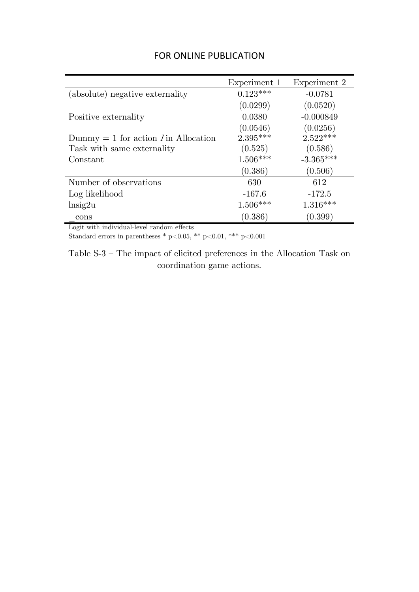|                                        | Experiment 1 | Experiment 2 |
|----------------------------------------|--------------|--------------|
| (absolute) negative externality        | $0.123***$   | $-0.0781$    |
|                                        | (0.0299)     | (0.0520)     |
| Positive externality                   | 0.0380       | $-0.000849$  |
|                                        | (0.0546)     | (0.0256)     |
| Dummy = 1 for action $I$ in Allocation | $2.395***$   | $2.522***$   |
| Task with same externality             | (0.525)      | (0.586)      |
| Constant                               | $1.506***$   | $-3.365***$  |
|                                        | (0.386)      | (0.506)      |
| Number of observations                 | 630          | 612          |
| Log likelihood                         | $-167.6$     | $-172.5$     |
| $\ln$ sig2u                            | $1.506***$   | $1.316***$   |
| cons                                   | (0.386)      | (0.399)      |

Logit with individual-level random effects

Standard errors in parentheses \* p<0.05, \*\* p<0.01, \*\*\* p<0.001

Table S-3 — The impact of elicited preferences in the Allocation Task on coordination game actions.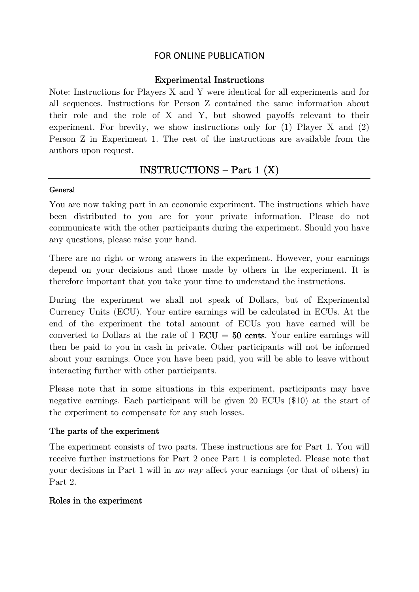#### Experimental Instructions

Note: Instructions for Players X and Y were identical for all experiments and for all sequences. Instructions for Person Z contained the same information about their role and the role of X and Y, but showed payoffs relevant to their experiment. For brevity, we show instructions only for (1) Player X and (2) Person Z in Experiment 1. The rest of the instructions are available from the authors upon request.

# $INSTRUCTIONS - Part 1 (X)$

#### General

You are now taking part in an economic experiment. The instructions which have been distributed to you are for your private information. Please do not communicate with the other participants during the experiment. Should you have any questions, please raise your hand.

There are no right or wrong answers in the experiment. However, your earnings depend on your decisions and those made by others in the experiment. It is therefore important that you take your time to understand the instructions.

During the experiment we shall not speak of Dollars, but of Experimental Currency Units (ECU). Your entire earnings will be calculated in ECUs. At the end of the experiment the total amount of ECUs you have earned will be converted to Dollars at the rate of  $1$  ECU = 50 cents. Your entire earnings will then be paid to you in cash in private. Other participants will not be informed about your earnings. Once you have been paid, you will be able to leave without interacting further with other participants.

Please note that in some situations in this experiment, participants may have negative earnings. Each participant will be given 20 ECUs (\$10) at the start of the experiment to compensate for any such losses.

### The parts of the experiment

The experiment consists of two parts. These instructions are for Part 1. You will receive further instructions for Part 2 once Part 1 is completed. Please note that your decisions in Part 1 will in no way affect your earnings (or that of others) in Part 2.

#### Roles in the experiment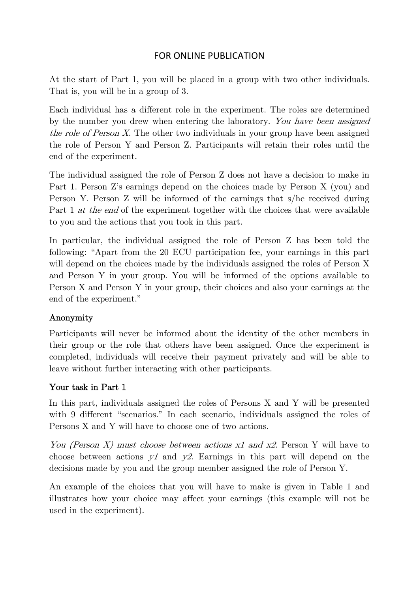At the start of Part 1, you will be placed in a group with two other individuals. That is, you will be in a group of 3.

Each individual has a different role in the experiment. The roles are determined by the number you drew when entering the laboratory. You have been assigned the role of Person X. The other two individuals in your group have been assigned the role of Person Y and Person Z. Participants will retain their roles until the end of the experiment.

The individual assigned the role of Person Z does not have a decision to make in Part 1. Person Z's earnings depend on the choices made by Person X (you) and Person Y. Person Z will be informed of the earnings that s/he received during Part 1 *at the end* of the experiment together with the choices that were available to you and the actions that you took in this part.

In particular, the individual assigned the role of Person Z has been told the following: "Apart from the 20 ECU participation fee, your earnings in this part will depend on the choices made by the individuals assigned the roles of Person X and Person Y in your group. You will be informed of the options available to Person X and Person Y in your group, their choices and also your earnings at the end of the experiment."

### Anonymity

Participants will never be informed about the identity of the other members in their group or the role that others have been assigned. Once the experiment is completed, individuals will receive their payment privately and will be able to leave without further interacting with other participants.

### Your task in Part 1

In this part, individuals assigned the roles of Persons X and Y will be presented with 9 different "scenarios." In each scenario, individuals assigned the roles of Persons X and Y will have to choose one of two actions.

You (Person X) must choose between actions x1 and x2. Person Y will have to choose between actions  $y_1$  and  $y_2$ . Earnings in this part will depend on the decisions made by you and the group member assigned the role of Person Y.

An example of the choices that you will have to make is given in Table 1 and illustrates how your choice may affect your earnings (this example will not be used in the experiment).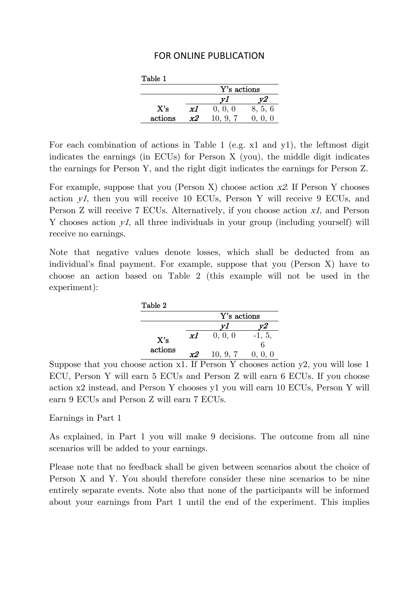| Table 1 |    |             |         |
|---------|----|-------------|---------|
|         |    | Y's actions |         |
|         |    |             |         |
| X's     | x1 | 0, 0, 0     | 8, 5, 6 |
| actions | x2 | 10, 9, 7    | 0, 0, 0 |

For each combination of actions in Table 1 (e.g. x1 and y1), the leftmost digit indicates the earnings (in ECUs) for Person X (you), the middle digit indicates the earnings for Person Y, and the right digit indicates the earnings for Person Z.

For example, suppose that you (Person X) choose action x2. If Person Y chooses action y1, then you will receive 10 ECUs, Person Y will receive 9 ECUs, and Person Z will receive 7 ECUs. Alternatively, if you choose action x1, and Person Y chooses action yl, all three individuals in your group (including yourself) will receive no earnings.

Note that negative values denote losses, which shall be deducted from an individual's final payment. For example, suppose that you (Person X) have to choose an action based on Table 2 (this example will not be used in the experiment):

| Table 2        |    |             |             |
|----------------|----|-------------|-------------|
|                |    | Y's actions |             |
|                |    |             |             |
| X's<br>actions | x1 | 0, 0, 0     | $-1, 5,$    |
|                |    |             |             |
|                | マン | 10, 9, 7    | $($ .<br>-0 |

Suppose that you choose action x1. If Person Y chooses action y2, you will lose 1 ECU, Person Y will earn 5 ECUs and Person Z will earn 6 ECUs. If you choose action x2 instead, and Person Y chooses y1 you will earn 10 ECUs, Person Y will earn 9 ECUs and Person Z will earn 7 ECUs.

Earnings in Part 1

As explained, in Part 1 you will make 9 decisions. The outcome from all nine scenarios will be added to your earnings.

Please note that no feedback shall be given between scenarios about the choice of Person X and Y. You should therefore consider these nine scenarios to be nine entirely separate events. Note also that none of the participants will be informed about your earnings from Part 1 until the end of the experiment. This implies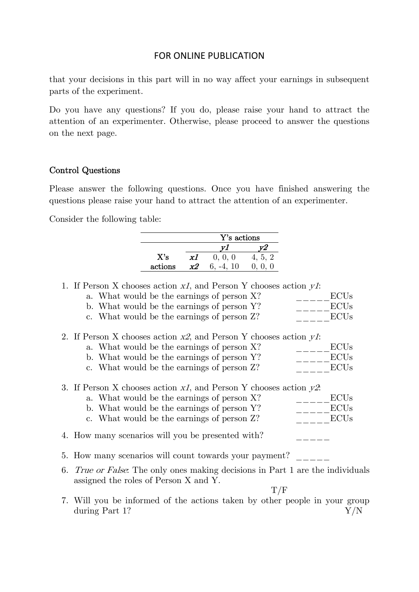that your decisions in this part will in no way affect your earnings in subsequent parts of the experiment.

Do you have any questions? If you do, please raise your hand to attract the attention of an experimenter. Otherwise, please proceed to answer the questions on the next page.

#### Control Questions

Please answer the following questions. Once you have finished answering the questions please raise your hand to attract the attention of an experimenter.

Consider the following table:

|    |                                                                                    |         |    | Y's actions         |         |             |
|----|------------------------------------------------------------------------------------|---------|----|---------------------|---------|-------------|
|    |                                                                                    |         |    | yI                  | y2      |             |
|    |                                                                                    | X's     | x1 | 0, 0, 0             | 4, 5, 2 |             |
|    |                                                                                    | actions | x2 | $6, -4, 10$ 0, 0, 0 |         |             |
|    |                                                                                    |         |    |                     |         |             |
|    | 1. If Person X chooses action $xI$ , and Person Y chooses action $yI$ :            |         |    |                     |         |             |
|    | a. What would be the earnings of person X?                                         |         |    |                     |         | <b>ECUs</b> |
|    | b. What would be the earnings of person Y?                                         |         |    |                     |         | <b>ECUs</b> |
|    | c. What would be the earnings of person Z?                                         |         |    |                     |         | <b>ECUs</b> |
|    |                                                                                    |         |    |                     |         |             |
|    | 2. If Person X chooses action $x2$ , and Person Y chooses action $y1$ :            |         |    |                     |         |             |
|    | a. What would be the earnings of person X?                                         |         |    |                     |         | <b>ECUs</b> |
|    | b. What would be the earnings of person Y?                                         |         |    |                     |         | <b>ECUs</b> |
|    | c. What would be the earnings of person Z?                                         |         |    |                     |         | <b>ECUs</b> |
|    |                                                                                    |         |    |                     |         |             |
|    | 3. If Person X chooses action $x_1$ , and Person Y chooses action $y_2$ .          |         |    |                     |         |             |
|    | a. What would be the earnings of person X?                                         |         |    |                     |         | <b>ECUs</b> |
|    | b. What would be the earnings of person Y?                                         |         |    |                     |         | <b>ECUs</b> |
|    | c. What would be the earnings of person Z?                                         |         |    |                     |         | <b>ECUs</b> |
|    |                                                                                    |         |    |                     |         |             |
|    | 4. How many scenarios will you be presented with?                                  |         |    |                     |         |             |
|    |                                                                                    |         |    |                     |         |             |
|    | 5. How many scenarios will count towards your payment?                             |         |    |                     |         |             |
| 6. | <i>True or False.</i> The only ones making decisions in Part 1 are the individuals |         |    |                     |         |             |
|    | assigned the roles of Person X and Y.                                              |         |    |                     |         |             |
|    |                                                                                    |         |    |                     | T/F     |             |
|    | 7. Will you be informed of the actions taken by other people in your group         |         |    |                     |         |             |
|    | during Part 1?                                                                     |         |    |                     |         | ${\rm Y/N}$ |
|    |                                                                                    |         |    |                     |         |             |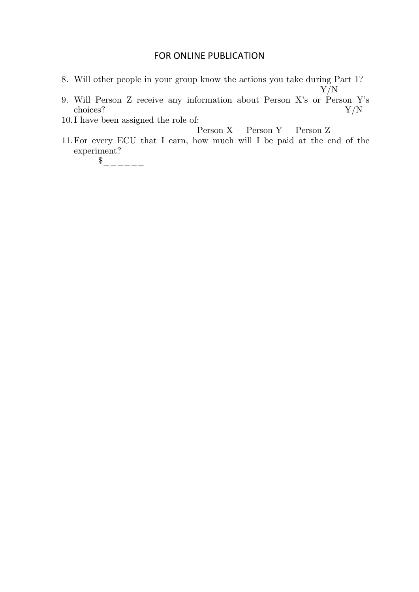- 8. Will other people in your group know the actions you take during Part 1?
- Y/N 9. Will Person Z receive any information about Person X's or Person Y's  $\alpha$ choices?  $Y/N$

10.I have been assigned the role of:

Person X Person Y Person Z

11.For every ECU that I earn, how much will I be paid at the end of the experiment?

 $\frac{1}{2}$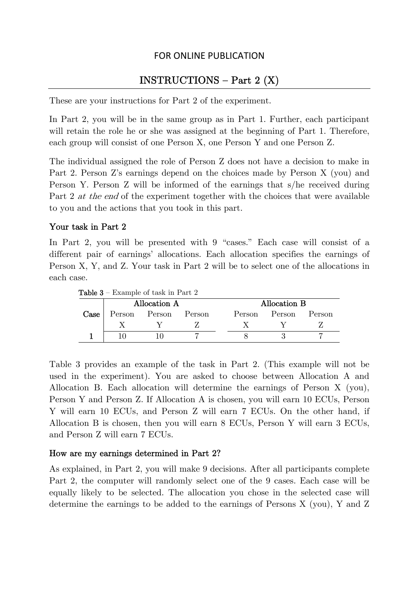# $INSTRUCTIONS - Part 2 (X)$

These are your instructions for Part 2 of the experiment.

In Part 2, you will be in the same group as in Part 1. Further, each participant will retain the role he or she was assigned at the beginning of Part 1. Therefore, each group will consist of one Person X, one Person Y and one Person Z.

The individual assigned the role of Person Z does not have a decision to make in Part 2. Person Z's earnings depend on the choices made by Person X (you) and Person Y. Person Z will be informed of the earnings that s/he received during Part 2 at the end of the experiment together with the choices that were available to you and the actions that you took in this part.

#### Your task in Part 2

In Part 2, you will be presented with 9 "cases." Each case will consist of a different pair of earnings' allocations. Each allocation specifies the earnings of Person X, Y, and Z. Your task in Part 2 will be to select one of the allocations in each case.

| <b>Table 3</b> – Example of task in Part 2 |               |  |        |  |              |        |        |  |
|--------------------------------------------|---------------|--|--------|--|--------------|--------|--------|--|
|                                            | Allocation A  |  |        |  | Allocation B |        |        |  |
| Case                                       | Person Person |  | Person |  | Person       | Person | Person |  |
|                                            |               |  |        |  |              |        |        |  |
|                                            |               |  |        |  |              |        |        |  |

Table 3 provides an example of the task in Part 2. (This example will not be used in the experiment). You are asked to choose between Allocation A and Allocation B. Each allocation will determine the earnings of Person X (you), Person Y and Person Z. If Allocation A is chosen, you will earn 10 ECUs, Person Y will earn 10 ECUs, and Person Z will earn 7 ECUs. On the other hand, if Allocation B is chosen, then you will earn 8 ECUs, Person Y will earn 3 ECUs, and Person Z will earn 7 ECUs.

#### How are my earnings determined in Part 2?

As explained, in Part 2, you will make 9 decisions. After all participants complete Part 2, the computer will randomly select one of the 9 cases. Each case will be equally likely to be selected. The allocation you chose in the selected case will determine the earnings to be added to the earnings of Persons X (you), Y and Z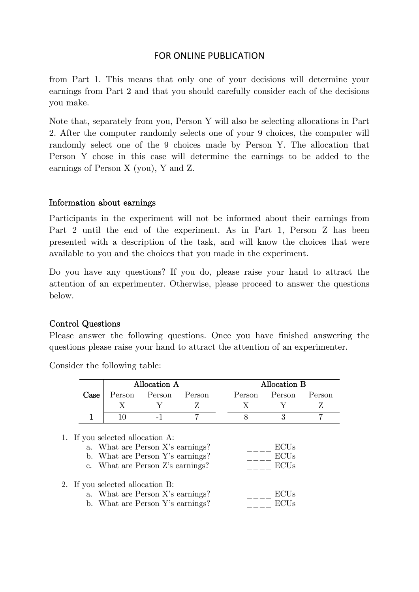from Part 1. This means that only one of your decisions will determine your earnings from Part 2 and that you should carefully consider each of the decisions you make.

Note that, separately from you, Person Y will also be selecting allocations in Part 2. After the computer randomly selects one of your 9 choices, the computer will randomly select one of the 9 choices made by Person Y. The allocation that Person Y chose in this case will determine the earnings to be added to the earnings of Person X (you), Y and Z.

#### Information about earnings

Participants in the experiment will not be informed about their earnings from Part 2 until the end of the experiment. As in Part 1, Person Z has been presented with a description of the task, and will know the choices that were available to you and the choices that you made in the experiment.

Do you have any questions? If you do, please raise your hand to attract the attention of an experimenter. Otherwise, please proceed to answer the questions below.

### Control Questions

Please answer the following questions. Once you have finished answering the questions please raise your hand to attract the attention of an experimenter.

|      |                               | Allocation A  |  | Allocation B  |        |  |  |
|------|-------------------------------|---------------|--|---------------|--------|--|--|
| Case | Person                        | Person Person |  | Person Person | Person |  |  |
|      |                               |               |  |               |        |  |  |
|      |                               |               |  |               |        |  |  |
|      |                               |               |  |               |        |  |  |
|      | If you selected allocation A: |               |  |               |        |  |  |

Consider the following table:

| 1. If you selected allocation A:<br>a. What are Person X's earnings?<br>b. What are Person Y's earnings?<br>c. What are Person Z's earnings? | <b>ECUs</b><br><b>ECUs</b><br><b>ECUs</b> |
|----------------------------------------------------------------------------------------------------------------------------------------------|-------------------------------------------|
| 2. If you selected allocation B:<br>a. What are Person X's earnings?<br>b. What are Person Y's earnings?                                     | ECUs<br><b>ECUs</b>                       |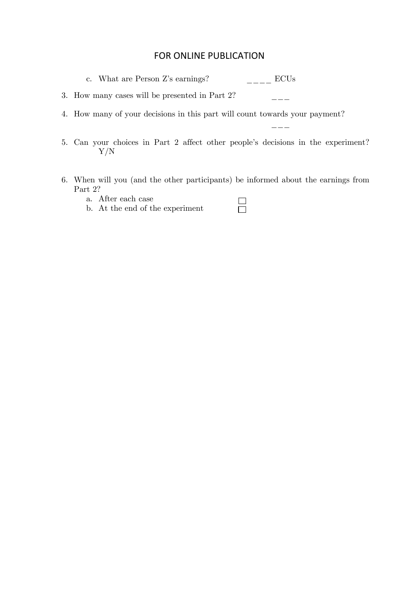c. What are Person Z's earnings?  $\qquad \qquad \overline{\qquad}$  ECUs

3. How many cases will be presented in Part 2? \_\_\_

\_\_\_

- 4. How many of your decisions in this part will count towards your payment?
- 5. Can your choices in Part 2 affect other people's decisions in the experiment? Y/N
- 6. When will you (and the other participants) be informed about the earnings from Part 2?

 $\Box$ 

- a. After each case
- b. At the end of the experiment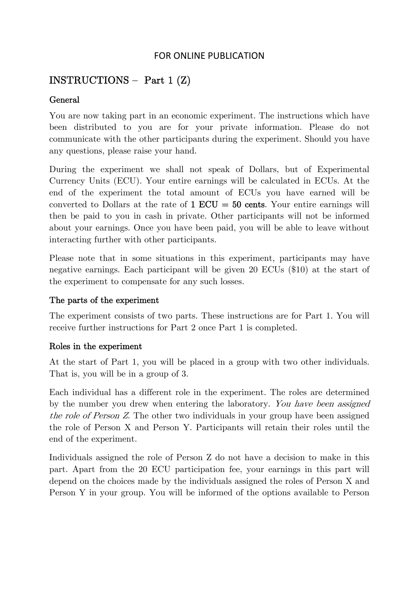# $INSTRUCTIONS - Part 1 (Z)$

#### General

You are now taking part in an economic experiment. The instructions which have been distributed to you are for your private information. Please do not communicate with the other participants during the experiment. Should you have any questions, please raise your hand.

During the experiment we shall not speak of Dollars, but of Experimental Currency Units (ECU). Your entire earnings will be calculated in ECUs. At the end of the experiment the total amount of ECUs you have earned will be converted to Dollars at the rate of  $1 \text{ ECU} = 50 \text{ cents}$ . Your entire earnings will then be paid to you in cash in private. Other participants will not be informed about your earnings. Once you have been paid, you will be able to leave without interacting further with other participants.

Please note that in some situations in this experiment, participants may have negative earnings. Each participant will be given 20 ECUs (\$10) at the start of the experiment to compensate for any such losses.

#### The parts of the experiment

The experiment consists of two parts. These instructions are for Part 1. You will receive further instructions for Part 2 once Part 1 is completed.

#### Roles in the experiment

At the start of Part 1, you will be placed in a group with two other individuals. That is, you will be in a group of 3.

Each individual has a different role in the experiment. The roles are determined by the number you drew when entering the laboratory. You have been assigned the role of Person Z. The other two individuals in your group have been assigned the role of Person X and Person Y. Participants will retain their roles until the end of the experiment.

Individuals assigned the role of Person Z do not have a decision to make in this part. Apart from the 20 ECU participation fee, your earnings in this part will depend on the choices made by the individuals assigned the roles of Person X and Person Y in your group. You will be informed of the options available to Person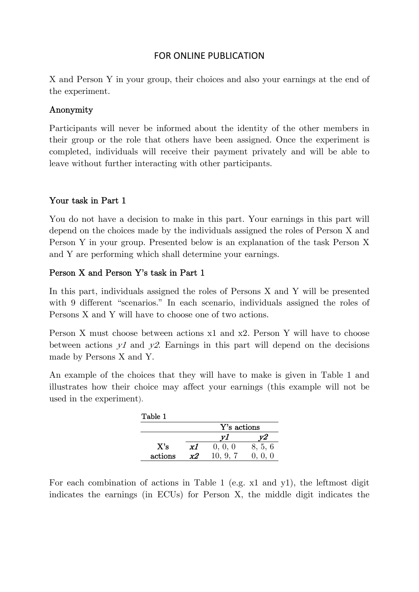X and Person Y in your group, their choices and also your earnings at the end of the experiment.

#### Anonymity

Participants will never be informed about the identity of the other members in their group or the role that others have been assigned. Once the experiment is completed, individuals will receive their payment privately and will be able to leave without further interacting with other participants.

### Your task in Part 1

You do not have a decision to make in this part. Your earnings in this part will depend on the choices made by the individuals assigned the roles of Person X and Person Y in your group. Presented below is an explanation of the task Person X and Y are performing which shall determine your earnings.

### Person X and Person Y's task in Part 1

In this part, individuals assigned the roles of Persons X and Y will be presented with 9 different "scenarios." In each scenario, individuals assigned the roles of Persons X and Y will have to choose one of two actions.

Person X must choose between actions x1 and x2. Person Y will have to choose between actions  $y_1$  and  $y_2$ . Earnings in this part will depend on the decisions made by Persons X and Y.

An example of the choices that they will have to make is given in Table 1 and illustrates how their choice may affect your earnings (this example will not be used in the experiment).

| Table 1 |    |             |         |
|---------|----|-------------|---------|
|         |    | Y's actions |         |
|         |    |             |         |
| X's     | x1 | 0, 0, 0     | 8, 5, 6 |
| actions | x2 | 10.9.7      |         |

For each combination of actions in Table 1 (e.g. x1 and y1), the leftmost digit indicates the earnings (in ECUs) for Person X, the middle digit indicates the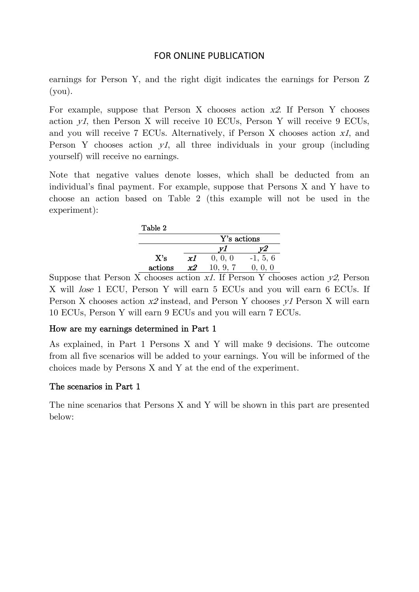earnings for Person Y, and the right digit indicates the earnings for Person Z (you).

For example, suppose that Person X chooses action  $x2$ . If Person Y chooses action  $yI$ , then Person X will receive 10 ECUs, Person Y will receive 9 ECUs, and you will receive 7 ECUs. Alternatively, if Person X chooses action x1, and Person Y chooses action  $yI$ , all three individuals in your group (including yourself) will receive no earnings.

Note that negative values denote losses, which shall be deducted from an individual's final payment. For example, suppose that Persons X and Y have to choose an action based on Table 2 (this example will not be used in the experiment):

| Table 2 |       |             |                  |
|---------|-------|-------------|------------------|
|         |       | Y's actions |                  |
|         |       |             |                  |
| X's     | хl    | 0, 0, 0     | $-1, 5, 6$       |
| actions | $x$ 2 | 10, 9, 7    | $\left( \right)$ |

Suppose that Person X chooses action  $xI$ . If Person Y chooses action  $y2$ , Person X will lose 1 ECU, Person Y will earn 5 ECUs and you will earn 6 ECUs. If Person X chooses action x2 instead, and Person Y chooses y1 Person X will earn 10 ECUs, Person Y will earn 9 ECUs and you will earn 7 ECUs.

### How are my earnings determined in Part 1

As explained, in Part 1 Persons X and Y will make 9 decisions. The outcome from all five scenarios will be added to your earnings. You will be informed of the choices made by Persons X and Y at the end of the experiment.

### The scenarios in Part 1

The nine scenarios that Persons X and Y will be shown in this part are presented below: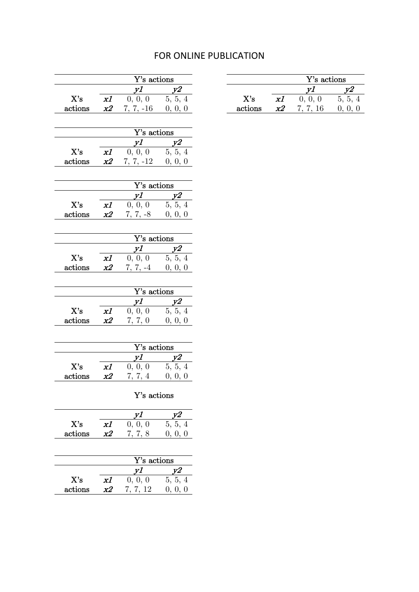|                                 |                 | Y's actions                                                                      |                                                                  |  |
|---------------------------------|-----------------|----------------------------------------------------------------------------------|------------------------------------------------------------------|--|
|                                 |                 | $\begin{array}{cc}\ny1 & y2 \\ 0, 0, 0 & 5, 5, 4\n\end{array}$                   |                                                                  |  |
| $\mathbf{X}^{\prime}\mathbf{s}$ | x1              |                                                                                  |                                                                  |  |
| $\arctions$                     |                 | $x2$ 7, 7, -16 0, 0, 0                                                           |                                                                  |  |
|                                 |                 |                                                                                  |                                                                  |  |
|                                 |                 | Y's actions                                                                      |                                                                  |  |
|                                 |                 |                                                                                  | $\begin{array}{c cc}\ny1 & y2 \\ 0, 0, 0 & 5, 5, 4\n\end{array}$ |  |
| X's                             | $\overline{xI}$ |                                                                                  |                                                                  |  |
| $\rm{actions}$                  | x2              | $7, 7, -12$ 0, 0, 0                                                              |                                                                  |  |
|                                 |                 |                                                                                  |                                                                  |  |
|                                 |                 | Y's actions                                                                      |                                                                  |  |
|                                 |                 | $\begin{array}{cc}\n y1 & y2 \\  0, 0, 0 & 5, 5, 4\n\end{array}$                 |                                                                  |  |
| $X$ 's                          | x1              |                                                                                  |                                                                  |  |
| $\arctions$                     | x2              | $7, 7, -8$ 0, 0, 0                                                               |                                                                  |  |
|                                 |                 |                                                                                  |                                                                  |  |
|                                 |                 | Y's actions                                                                      |                                                                  |  |
|                                 |                 |                                                                                  |                                                                  |  |
| X's                             | xI              | $\begin{array}{c cc}\n \hline y1 & y2 \\ \hline\n0, 0, 0 & 5, 5, 4\n\end{array}$ |                                                                  |  |
| $\arctions$                     | x2              | $7, 7, -4$ 0, 0, 0                                                               |                                                                  |  |
|                                 |                 |                                                                                  |                                                                  |  |
|                                 |                 | Y's actions                                                                      |                                                                  |  |
|                                 |                 |                                                                                  |                                                                  |  |
| $\mathbf{X}'\mathbf{s}$         | x1              |                                                                                  | $\begin{array}{c cc}\ny1 & y2 \\ 0, 0, 0 & 5, 5, 4\n\end{array}$ |  |
| actions                         | x2              | 7, 7, 0                                                                          | 0, 0, 0                                                          |  |
|                                 |                 |                                                                                  |                                                                  |  |
|                                 |                 | Y's actions                                                                      |                                                                  |  |
|                                 |                 |                                                                                  |                                                                  |  |
| X's                             | x1              | $\begin{array}{cc}\ny1 & y2 \\ 0, 0, 0 & 5, 5, 4\n\end{array}$                   |                                                                  |  |
| actions                         | x2              | 7, 7, 4                                                                          | 0, 0, 0                                                          |  |
|                                 |                 |                                                                                  |                                                                  |  |
|                                 |                 |                                                                                  | Y's actions                                                      |  |
|                                 |                 |                                                                                  |                                                                  |  |
|                                 |                 | $\frac{yI}{0,0,0}$                                                               | $\frac{y2}{5,5,4}$                                               |  |
| X's                             | x1              |                                                                                  |                                                                  |  |
| actions                         | $x^2$           | 7, 7, 8                                                                          | 0, 0, 0                                                          |  |
|                                 |                 |                                                                                  |                                                                  |  |
|                                 |                 | Y's actions                                                                      |                                                                  |  |
|                                 |                 | y1                                                                               |                                                                  |  |
| X's                             | x1              | $\overline{0, 0}, 0$                                                             | 5, 5, 4                                                          |  |

 $x2$  7, 7, 12 0, 0, 0

actions

# FOR ONLINE PUBLICATION

|         |    | Y's actions |    |  |  |  |
|---------|----|-------------|----|--|--|--|
|         |    |             |    |  |  |  |
| X's     | хl | 0, 0, 0     | 5. |  |  |  |
| actions |    | 16          |    |  |  |  |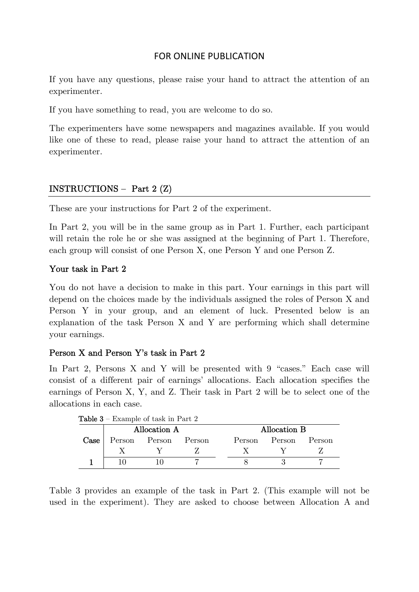If you have any questions, please raise your hand to attract the attention of an experimenter.

If you have something to read, you are welcome to do so.

The experimenters have some newspapers and magazines available. If you would like one of these to read, please raise your hand to attract the attention of an experimenter.

### INSTRUCTIONS — Part 2 (Z)

These are your instructions for Part 2 of the experiment.

In Part 2, you will be in the same group as in Part 1. Further, each participant will retain the role he or she was assigned at the beginning of Part 1. Therefore, each group will consist of one Person X, one Person Y and one Person Z.

#### Your task in Part 2

You do not have a decision to make in this part. Your earnings in this part will depend on the choices made by the individuals assigned the roles of Person X and Person Y in your group, and an element of luck. Presented below is an explanation of the task Person X and Y are performing which shall determine your earnings.

### Person X and Person Y's task in Part 2

In Part 2, Persons X and Y will be presented with 9 "cases." Each case will consist of a different pair of earnings' allocations. Each allocation specifies the earnings of Person X, Y, and Z. Their task in Part 2 will be to select one of the allocations in each case.

| <b>Table 3</b> – Example of task in Part 2 |               |  |        |  |              |        |          |  |
|--------------------------------------------|---------------|--|--------|--|--------------|--------|----------|--|
|                                            | Allocation A  |  |        |  | Allocation B |        |          |  |
| $\bf Case$                                 | Person Person |  | Person |  | Person       | Person | – Person |  |
|                                            |               |  |        |  |              |        |          |  |
|                                            |               |  |        |  |              |        |          |  |

Table 3 provides an example of the task in Part 2. (This example will not be used in the experiment). They are asked to choose between Allocation A and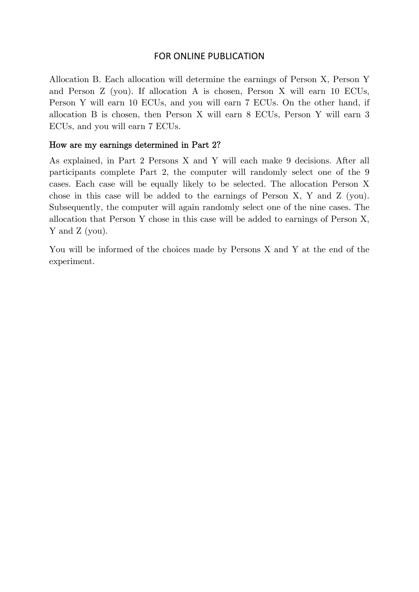Allocation B. Each allocation will determine the earnings of Person X, Person Y and Person Z (you). If allocation A is chosen, Person X will earn 10 ECUs, Person Y will earn 10 ECUs, and you will earn 7 ECUs. On the other hand, if allocation B is chosen, then Person X will earn 8 ECUs, Person Y will earn 3 ECUs, and you will earn 7 ECUs.

#### How are my earnings determined in Part 2?

As explained, in Part 2 Persons X and Y will each make 9 decisions. After all participants complete Part 2, the computer will randomly select one of the 9 cases. Each case will be equally likely to be selected. The allocation Person X chose in this case will be added to the earnings of Person X, Y and Z (you). Subsequently, the computer will again randomly select one of the nine cases. The allocation that Person Y chose in this case will be added to earnings of Person X, Y and Z (you).

You will be informed of the choices made by Persons X and Y at the end of the experiment.